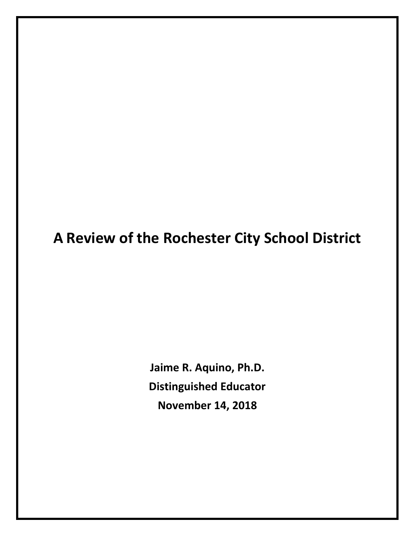# **A Review of the Rochester City School District**

**Jaime R. Aquino, Ph.D. Distinguished Educator November 14, 2018**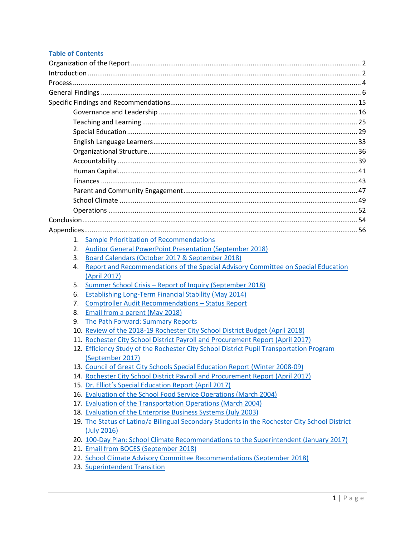#### **Table of Contents**

| 1. | <b>Sample Prioritization of Recommendations</b>                                                                                          |  |  |
|----|------------------------------------------------------------------------------------------------------------------------------------------|--|--|
| 2. | <b>Auditor General PowerPoint Presentation (September 2018)</b>                                                                          |  |  |
| 3. | Board Calendars (October 2017 & September 2018)                                                                                          |  |  |
| 4. | Report and Recommendations of the Special Advisory Committee on Special Education                                                        |  |  |
|    | (April 2017)                                                                                                                             |  |  |
| 5. | Summer School Crisis - Report of Inquiry (September 2018)                                                                                |  |  |
| 6. | <b>Establishing Long-Term Financial Stability (May 2014)</b>                                                                             |  |  |
| 7. | <b>Comptroller Audit Recommendations - Status Report</b>                                                                                 |  |  |
| 8. | Email from a parent (May 2018)                                                                                                           |  |  |
| 9. | The Path Forward: Summary Reports                                                                                                        |  |  |
|    | 10. Review of the 2018-19 Rochester City School District Budget (April 2018)                                                             |  |  |
|    | 11. Rochester City School District Payroll and Procurement Report (April 2017)                                                           |  |  |
|    | 12. Efficiency Study of the Rochester City School District Pupil Transportation Program                                                  |  |  |
|    | (September 2017)                                                                                                                         |  |  |
|    | 13. Council of Great City Schools Special Education Report (Winter 2008-09)                                                              |  |  |
|    | 14. Rochester City School District Payroll and Procurement Report (April 2017)<br>15. Dr. Elliot's Special Education Report (April 2017) |  |  |
|    | 16. Evaluation of the School Food Service Operations (March 2004)                                                                        |  |  |
|    | 17. Evaluation of the Transportation Operations (March 2004)                                                                             |  |  |
|    | 18. Evaluation of the Enterprise Business Systems (July 2003)                                                                            |  |  |
|    | 19. The Status of Latino/a Bilingual Secondary Students in the Rochester City School District                                            |  |  |
|    | (July 2016)                                                                                                                              |  |  |
|    | 20. 100-Day Plan: School Climate Recommendations to the Superintendent (January 2017)                                                    |  |  |
|    | 21. Email from BOCES (September 2018)                                                                                                    |  |  |
|    | 22. School Climate Advisory Committee Recommendations (September 2018)                                                                   |  |  |
|    | 23. Superintendent Transition                                                                                                            |  |  |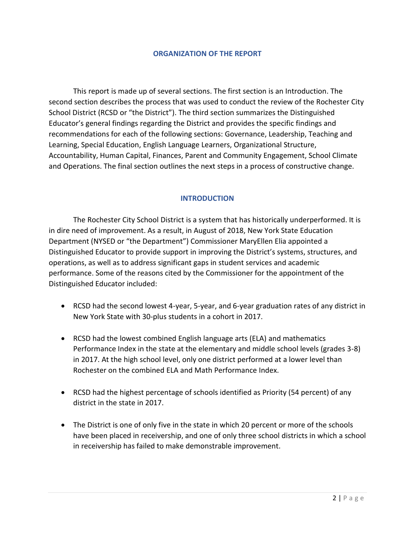#### **ORGANIZATION OF THE REPORT**

This report is made up of several sections. The first section is an Introduction. The second section describes the process that was used to conduct the review of the Rochester City School District (RCSD or "the District"). The third section summarizes the Distinguished Educator's general findings regarding the District and provides the specific findings and recommendations for each of the following sections: Governance, Leadership, Teaching and Learning, Special Education, English Language Learners, Organizational Structure, Accountability, Human Capital, Finances, Parent and Community Engagement, School Climate and Operations. The final section outlines the next steps in a process of constructive change.

# **INTRODUCTION**

The Rochester City School District is a system that has historically underperformed. It is in dire need of improvement. As a result, in August of 2018, New York State Education Department (NYSED or "the Department") Commissioner MaryEllen Elia appointed a Distinguished Educator to provide support in improving the District's systems, structures, and operations, as well as to address significant gaps in student services and academic performance. Some of the reasons cited by the Commissioner for the appointment of the Distinguished Educator included:

- RCSD had the second lowest 4-year, 5-year, and 6-year graduation rates of any district in New York State with 30-plus students in a cohort in 2017.
- RCSD had the lowest combined English language arts (ELA) and mathematics Performance Index in the state at the elementary and middle school levels (grades 3-8) in 2017. At the high school level, only one district performed at a lower level than Rochester on the combined ELA and Math Performance Index.
- RCSD had the highest percentage of schools identified as Priority (54 percent) of any district in the state in 2017.
- The District is one of only five in the state in which 20 percent or more of the schools have been placed in receivership, and one of only three school districts in which a school in receivership has failed to make demonstrable improvement.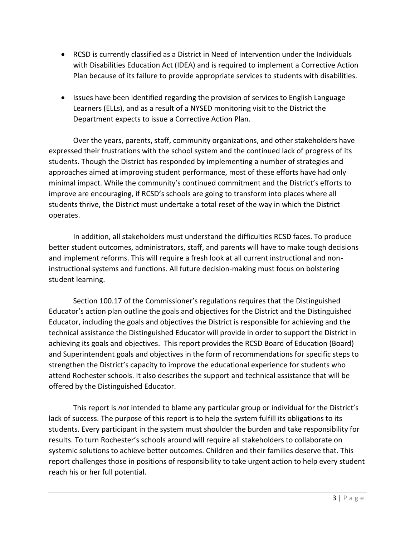- RCSD is currently classified as a District in Need of Intervention under the Individuals with Disabilities Education Act (IDEA) and is required to implement a Corrective Action Plan because of its failure to provide appropriate services to students with disabilities.
- Issues have been identified regarding the provision of services to English Language Learners (ELLs), and as a result of a NYSED monitoring visit to the District the Department expects to issue a Corrective Action Plan.

Over the years, parents, staff, community organizations, and other stakeholders have expressed their frustrations with the school system and the continued lack of progress of its students. Though the District has responded by implementing a number of strategies and approaches aimed at improving student performance, most of these efforts have had only minimal impact. While the community's continued commitment and the District's efforts to improve are encouraging, if RCSD's schools are going to transform into places where all students thrive, the District must undertake a total reset of the way in which the District operates.

In addition, all stakeholders must understand the difficulties RCSD faces. To produce better student outcomes, administrators, staff, and parents will have to make tough decisions and implement reforms. This will require a fresh look at all current instructional and noninstructional systems and functions. All future decision-making must focus on bolstering student learning.

Section 100.17 of the Commissioner's regulations requires that the Distinguished Educator's action plan outline the goals and objectives for the District and the Distinguished Educator, including the goals and objectives the District is responsible for achieving and the technical assistance the Distinguished Educator will provide in order to support the District in achieving its goals and objectives. This report provides the RCSD Board of Education (Board) and Superintendent goals and objectives in the form of recommendations for specific steps to strengthen the District's capacity to improve the educational experience for students who attend Rochester schools. It also describes the support and technical assistance that will be offered by the Distinguished Educator.

This report is *not* intended to blame any particular group or individual for the District's lack of success. The purpose of this report is to help the system fulfill its obligations to its students. Every participant in the system must shoulder the burden and take responsibility for results. To turn Rochester's schools around will require all stakeholders to collaborate on systemic solutions to achieve better outcomes. Children and their families deserve that. This report challenges those in positions of responsibility to take urgent action to help every student reach his or her full potential.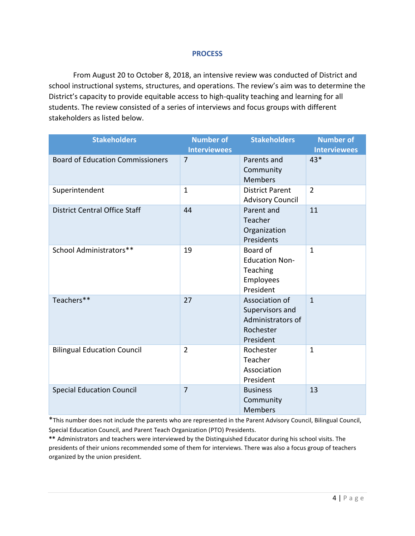#### **PROCESS**

From August 20 to October 8, 2018, an intensive review was conducted of District and school instructional systems, structures, and operations. The review's aim was to determine the District's capacity to provide equitable access to high-quality teaching and learning for all students. The review consisted of a series of interviews and focus groups with different stakeholders as listed below.

| <b>Stakeholders</b>                     | <b>Number of</b><br><b>Interviewees</b> | <b>Stakeholders</b>                                                              | <b>Number of</b><br><b>Interviewees</b> |
|-----------------------------------------|-----------------------------------------|----------------------------------------------------------------------------------|-----------------------------------------|
| <b>Board of Education Commissioners</b> | $\overline{7}$                          | Parents and<br>Community<br><b>Members</b>                                       | 43*                                     |
| Superintendent                          | $\mathbf{1}$                            | <b>District Parent</b><br><b>Advisory Council</b>                                | $\overline{2}$                          |
| <b>District Central Office Staff</b>    | 44                                      | Parent and<br>Teacher<br>Organization<br>Presidents                              | 11                                      |
| School Administrators**                 | 19                                      | Board of<br><b>Education Non-</b><br>Teaching<br>Employees<br>President          | $\mathbf{1}$                            |
| Teachers**                              | 27                                      | Association of<br>Supervisors and<br>Administrators of<br>Rochester<br>President | $\mathbf{1}$                            |
| <b>Bilingual Education Council</b>      | $\overline{2}$                          | Rochester<br>Teacher<br>Association<br>President                                 | $\mathbf{1}$                            |
| <b>Special Education Council</b>        | $\overline{7}$                          | <b>Business</b><br>Community<br><b>Members</b>                                   | 13                                      |

\*This number does not include the parents who are represented in the Parent Advisory Council, Bilingual Council, Special Education Council, and Parent Teach Organization (PTO) Presidents.

**\*\*** Administrators and teachers were interviewed by the Distinguished Educator during his school visits. The presidents of their unions recommended some of them for interviews. There was also a focus group of teachers organized by the union president.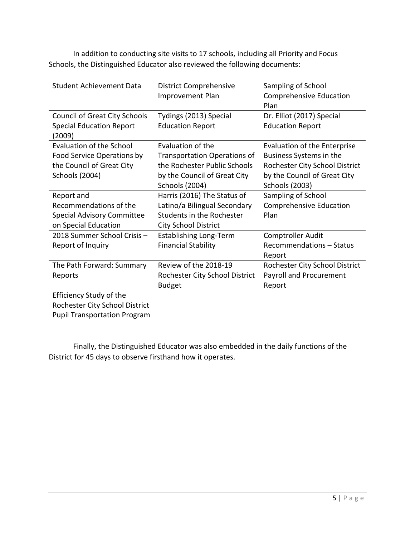In addition to conducting site visits to 17 schools, including all Priority and Focus Schools, the Distinguished Educator also reviewed the following documents:

| <b>Student Achievement Data</b>                                                                              | <b>District Comprehensive</b><br><b>Improvement Plan</b>                                                                                          | Sampling of School<br><b>Comprehensive Education</b><br>Plan                                                                                       |
|--------------------------------------------------------------------------------------------------------------|---------------------------------------------------------------------------------------------------------------------------------------------------|----------------------------------------------------------------------------------------------------------------------------------------------------|
| <b>Council of Great City Schools</b><br><b>Special Education Report</b><br>(2009)                            | Tydings (2013) Special<br><b>Education Report</b>                                                                                                 | Dr. Elliot (2017) Special<br><b>Education Report</b>                                                                                               |
| Evaluation of the School<br>Food Service Operations by<br>the Council of Great City<br><b>Schools (2004)</b> | Evaluation of the<br><b>Transportation Operations of</b><br>the Rochester Public Schools<br>by the Council of Great City<br><b>Schools (2004)</b> | Evaluation of the Enterprise<br>Business Systems in the<br>Rochester City School District<br>by the Council of Great City<br><b>Schools (2003)</b> |
| Report and<br>Recommendations of the<br><b>Special Advisory Committee</b><br>on Special Education            | Harris (2016) The Status of<br>Latino/a Bilingual Secondary<br>Students in the Rochester<br><b>City School District</b>                           | Sampling of School<br><b>Comprehensive Education</b><br>Plan                                                                                       |
| 2018 Summer School Crisis -<br>Report of Inquiry                                                             | <b>Establishing Long-Term</b><br><b>Financial Stability</b>                                                                                       | Comptroller Audit<br>Recommendations - Status<br>Report                                                                                            |
| The Path Forward: Summary<br>Reports                                                                         | Review of the 2018-19<br>Rochester City School District<br><b>Budget</b>                                                                          | Rochester City School District<br>Payroll and Procurement<br>Report                                                                                |
| Efficiency Study of the<br>Rochester City School District                                                    |                                                                                                                                                   |                                                                                                                                                    |

Pupil Transportation Program

Finally, the Distinguished Educator was also embedded in the daily functions of the District for 45 days to observe firsthand how it operates.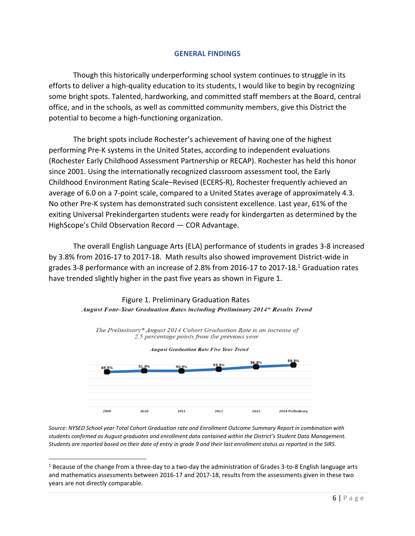#### **GENERAL FINDINGS**

Though this historically underperforming school system continues to struggle in its efforts to deliver a high-quality education to its students, I would like to begin by recognizing some bright spots. Talented, hardworking, and committed staff members at the Board, central office, and in the schools, as well as committed community members, give this District the potential to become a high-functioning organization.

The bright spots include Rochester's achievement of having one of the highest performing Pre-K systems in the United States, according to independent evaluations (Rochester Early Childhood Assessment Partnership or RECAP). Rochester has held this honor since 2001. Using the internationally recognized classroom assessment tool, the Early Childhood Environment Rating Scale–Revised (ECERS-R), Rochester frequently achieved an average of 6.0 on a 7-point scale, compared to a United States average of approximately 4.3. No other Pre-K system has demonstrated such consistent excellence. Last year, 61% of the exiting Universal Prekindergarten students were ready for kindergarten as determined by the HighScope's Child Observation Record — COR Advantage.

The overall English Language Arts (ELA) performance of students in grades 3-8 increased by 3.8% from 2016-17 to 2017-18. Math results also showed improvement District-wide in grades 3-8 performance with an increase of 2.8% from 2016-17 to 2017-18.<sup>1</sup> Graduation rates have trended slightly higher in the past five years as shown in Figure 1.

#### Figure 1. Preliminary Graduation Rates August Four-Year Graduation Rates including Preliminary 2014\* Results Trend



The Preliminary\* August 2014 Cohort Graduation Rate is an increase of 2.5 percentage points from the previous year.

*Source: NYSED School year Total Cohort Graduation rate and Enrollment Outcome Summary Report in combination with students confirmed as August graduates and enrollment data contained within the District's Student Data Management. Students are reported based on their date of entry in grade 9 and their last enrollment status as reported in the SIRS.* 

 $\overline{a}$ 

<sup>&</sup>lt;sup>1</sup> Because of the change from a three-day to a two-day the administration of Grades 3-to-8 English language arts and mathematics assessments between 2016-17 and 2017-18, results from the assessments given in these two years are not directly comparable.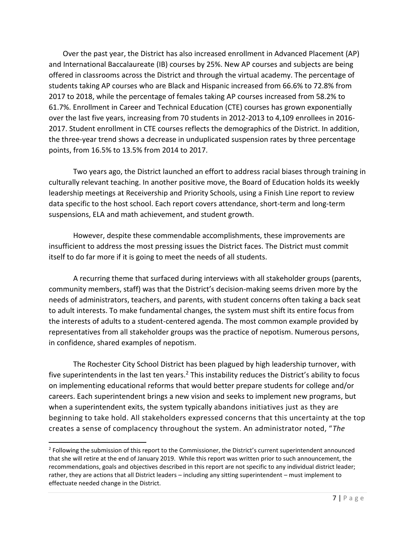Over the past year, the District has also increased enrollment in Advanced Placement (AP) and International Baccalaureate (IB) courses by 25%. New AP courses and subjects are being offered in classrooms across the District and through the virtual academy. The percentage of students taking AP courses who are Black and Hispanic increased from 66.6% to 72.8% from 2017 to 2018, while the percentage of females taking AP courses increased from 58.2% to 61.7%. Enrollment in Career and Technical Education (CTE) courses has grown exponentially over the last five years, increasing from 70 students in 2012-2013 to 4,109 enrollees in 2016- 2017. Student enrollment in CTE courses reflects the demographics of the District. In addition, the three-year trend shows a decrease in unduplicated suspension rates by three percentage points, from 16.5% to 13.5% from 2014 to 2017.

Two years ago, the District launched an effort to address racial biases through training in culturally relevant teaching. In another positive move, the Board of Education holds its weekly leadership meetings at Receivership and Priority Schools, using a Finish Line report to review data specific to the host school. Each report covers attendance, short-term and long-term suspensions, ELA and math achievement, and student growth.

However, despite these commendable accomplishments, these improvements are insufficient to address the most pressing issues the District faces. The District must commit itself to do far more if it is going to meet the needs of all students.

A recurring theme that surfaced during interviews with all stakeholder groups (parents, community members, staff) was that the District's decision-making seems driven more by the needs of administrators, teachers, and parents, with student concerns often taking a back seat to adult interests. To make fundamental changes, the system must shift its entire focus from the interests of adults to a student-centered agenda. The most common example provided by representatives from all stakeholder groups was the practice of nepotism. Numerous persons, in confidence, shared examples of nepotism.

The Rochester City School District has been plagued by high leadership turnover, with five superintendents in the last ten years.<sup>2</sup> This instability reduces the District's ability to focus on implementing educational reforms that would better prepare students for college and/or careers. Each superintendent brings a new vision and seeks to implement new programs, but when a superintendent exits, the system typically abandons initiatives just as they are beginning to take hold. All stakeholders expressed concerns that this uncertainty at the top creates a sense of complacency throughout the system. An administrator noted, "*The* 

<sup>&</sup>lt;sup>2</sup> Following the submission of this report to the Commissioner, the District's current superintendent announced that she will retire at the end of January 2019. While this report was written prior to such announcement, the recommendations, goals and objectives described in this report are not specific to any individual district leader; rather, they are actions that all District leaders – including any sitting superintendent – must implement to effectuate needed change in the District.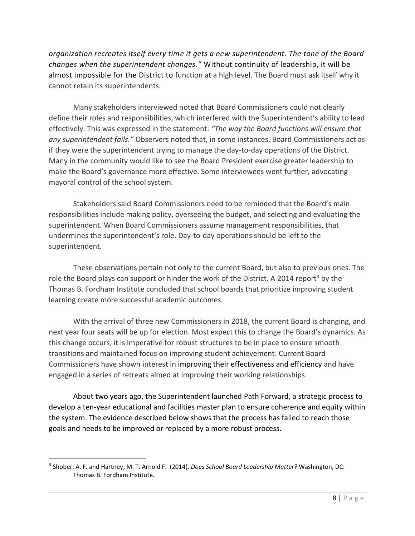*organization recreates itself every time it gets a new superintendent. The tone of the Board changes when the superintendent changes."* Without continuity of leadership, it will be almost impossible for the District to function at a high level. The Board must ask itself why it cannot retain its superintendents.

Many stakeholders interviewed noted that Board Commissioners could not clearly define their roles and responsibilities, which interfered with the Superintendent's ability to lead effectively. This was expressed in the statement: *"The way the Board functions will ensure that any superintendent fails."* Observers noted that, in some instances, Board Commissioners act as if they were the superintendent trying to manage the day-to-day operations of the District. Many in the community would like to see the Board President exercise greater leadership to make the Board's governance more effective. Some interviewees went further, advocating mayoral control of the school system.

Stakeholders said Board Commissioners need to be reminded that the Board's main responsibilities include making policy, overseeing the budget, and selecting and evaluating the superintendent. When Board Commissioners assume management responsibilities, that undermines the superintendent's role. Day-to-day operations should be left to the superintendent.

These observations pertain not only to the current Board, but also to previous ones. The role the Board plays can support or hinder the work of the District. A 2014 report<sup>3</sup> by the Thomas B. Fordham Institute concluded that school boards that prioritize improving student learning create more successful academic outcomes.

With the arrival of three new Commissioners in 2018, the current Board is changing, and next year four seats will be up for election. Most expect this to change the Board's dynamics. As this change occurs, it is imperative for robust structures to be in place to ensure smooth transitions and maintained focus on improving student achievement. Current Board Commissioners have shown interest in improving their effectiveness and efficiency and have engaged in a series of retreats aimed at improving their working relationships.

About two years ago, the Superintendent launched Path Forward, a strategic process to develop a ten-year educational and facilities master plan to ensure coherence and equity within the system. The evidence described below shows that the process has failed to reach those goals and needs to be improved or replaced by a more robust process.

<sup>3</sup> Shober, A. F. and Hartney, M. T. Arnold F. (2014). *Does School Board Leadership Matter?* Washington, DC: Thomas B. Fordham Institute.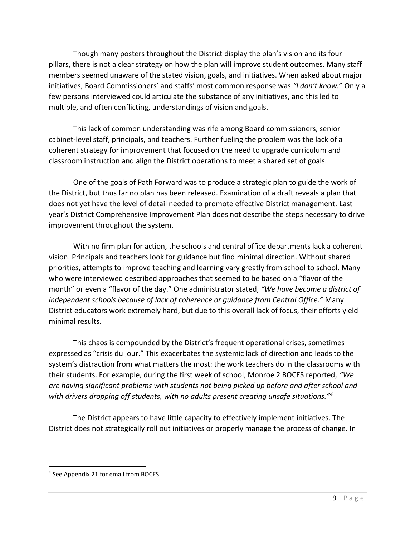Though many posters throughout the District display the plan's vision and its four pillars, there is not a clear strategy on how the plan will improve student outcomes. Many staff members seemed unaware of the stated vision, goals, and initiatives. When asked about major initiatives, Board Commissioners' and staffs' most common response was *"I don't know.*" Only a few persons interviewed could articulate the substance of any initiatives, and this led to multiple, and often conflicting, understandings of vision and goals.

This lack of common understanding was rife among Board commissioners, senior cabinet-level staff, principals, and teachers. Further fueling the problem was the lack of a coherent strategy for improvement that focused on the need to upgrade curriculum and classroom instruction and align the District operations to meet a shared set of goals.

One of the goals of Path Forward was to produce a strategic plan to guide the work of the District, but thus far no plan has been released. Examination of a draft reveals a plan that does not yet have the level of detail needed to promote effective District management. Last year's District Comprehensive Improvement Plan does not describe the steps necessary to drive improvement throughout the system.

With no firm plan for action, the schools and central office departments lack a coherent vision. Principals and teachers look for guidance but find minimal direction. Without shared priorities, attempts to improve teaching and learning vary greatly from school to school. Many who were interviewed described approaches that seemed to be based on a "flavor of the month" or even a "flavor of the day." One administrator stated, *"We have become a district of independent schools because of lack of coherence or guidance from Central Office."* Many District educators work extremely hard, but due to this overall lack of focus, their efforts yield minimal results.

This chaos is compounded by the District's frequent operational crises, sometimes expressed as "crisis du jour." This exacerbates the systemic lack of direction and leads to the system's distraction from what matters the most: the work teachers do in the classrooms with their students. For example, during the first week of school, Monroe 2 BOCES reported, *"We are having significant problems with students not being picked up before and after school and with drivers dropping off students, with no adults present creating unsafe situations."<sup>4</sup>*

The District appears to have little capacity to effectively implement initiatives. The District does not strategically roll out initiatives or properly manage the process of change. In

 $\overline{a}$ 

<sup>4</sup> See Appendix 21 for email from BOCES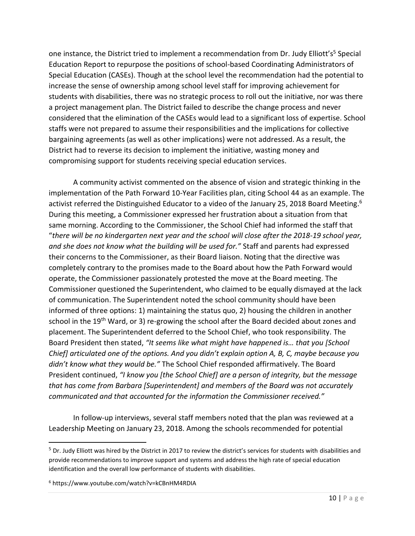one instance, the District tried to implement a recommendation from Dr. Judy Elliott's<sup>5</sup> Special Education Report to repurpose the positions of school-based Coordinating Administrators of Special Education (CASEs). Though at the school level the recommendation had the potential to increase the sense of ownership among school level staff for improving achievement for students with disabilities, there was no strategic process to roll out the initiative, nor was there a project management plan. The District failed to describe the change process and never considered that the elimination of the CASEs would lead to a significant loss of expertise. School staffs were not prepared to assume their responsibilities and the implications for collective bargaining agreements (as well as other implications) were not addressed. As a result, the District had to reverse its decision to implement the initiative, wasting money and compromising support for students receiving special education services.

A community activist commented on the absence of vision and strategic thinking in the implementation of the Path Forward 10-Year Facilities plan, citing School 44 as an example. The activist referred the Distinguished Educator to a video of the January 25, 2018 Board Meeting.<sup>6</sup> During this meeting, a Commissioner expressed her frustration about a situation from that same morning. According to the Commissioner, the School Chief had informed the staff that "*there will be no kindergarten next year and the school will close after the 2018-19 school year, and she does not know what the building will be used for."* Staff and parents had expressed their concerns to the Commissioner, as their Board liaison. Noting that the directive was completely contrary to the promises made to the Board about how the Path Forward would operate, the Commissioner passionately protested the move at the Board meeting. The Commissioner questioned the Superintendent, who claimed to be equally dismayed at the lack of communication. The Superintendent noted the school community should have been informed of three options: 1) maintaining the status quo, 2) housing the children in another school in the 19<sup>th</sup> Ward, or 3) re-growing the school after the Board decided about zones and placement. The Superintendent deferred to the School Chief, who took responsibility. The Board President then stated, *"It seems like what might have happened is… that you [School Chief] articulated one of the options. And you didn't explain option A, B, C, maybe because you didn't know what they would be."* The School Chief responded affirmatively. The Board President continued, *"I know you [the School Chief] are a person of integrity, but the message that has come from Barbara [Superintendent] and members of the Board was not accurately communicated and that accounted for the information the Commissioner received."* 

In follow-up interviews, several staff members noted that the plan was reviewed at a Leadership Meeting on January 23, 2018. Among the schools recommended for potential

 $5$  Dr. Judy Elliott was hired by the District in 2017 to review the district's services for students with disabilities and provide recommendations to improve support and systems and address the high rate of special education identification and the overall low performance of students with disabilities.

<sup>6</sup> https://www.youtube.com/watch?v=kCBnHM4RDIA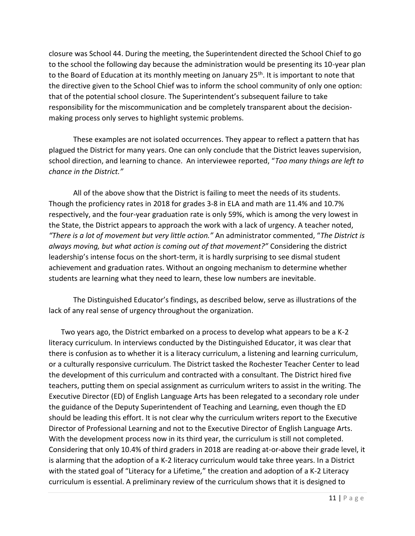closure was School 44. During the meeting, the Superintendent directed the School Chief to go to the school the following day because the administration would be presenting its 10-year plan to the Board of Education at its monthly meeting on January 25<sup>th</sup>. It is important to note that the directive given to the School Chief was to inform the school community of only one option: that of the potential school closure. The Superintendent's subsequent failure to take responsibility for the miscommunication and be completely transparent about the decisionmaking process only serves to highlight systemic problems.

These examples are not isolated occurrences. They appear to reflect a pattern that has plagued the District for many years. One can only conclude that the District leaves supervision, school direction, and learning to chance. An interviewee reported, "*Too many things are left to chance in the District."*

All of the above show that the District is failing to meet the needs of its students. Though the proficiency rates in 2018 for grades 3-8 in ELA and math are 11.4% and 10.7% respectively, and the four-year graduation rate is only 59%, which is among the very lowest in the State, the District appears to approach the work with a lack of urgency. A teacher noted, *"There is a lot of movement but very little action."* An administrator commented, "*The District is always moving, but what action is coming out of that movement?"* Considering the district leadership's intense focus on the short-term, it is hardly surprising to see dismal student achievement and graduation rates. Without an ongoing mechanism to determine whether students are learning what they need to learn, these low numbers are inevitable.

The Distinguished Educator's findings, as described below, serve as illustrations of the lack of any real sense of urgency throughout the organization.

Two years ago, the District embarked on a process to develop what appears to be a K-2 literacy curriculum. In interviews conducted by the Distinguished Educator, it was clear that there is confusion as to whether it is a literacy curriculum, a listening and learning curriculum, or a culturally responsive curriculum. The District tasked the Rochester Teacher Center to lead the development of this curriculum and contracted with a consultant. The District hired five teachers, putting them on special assignment as curriculum writers to assist in the writing. The Executive Director (ED) of English Language Arts has been relegated to a secondary role under the guidance of the Deputy Superintendent of Teaching and Learning, even though the ED should be leading this effort. It is not clear why the curriculum writers report to the Executive Director of Professional Learning and not to the Executive Director of English Language Arts. With the development process now in its third year, the curriculum is still not completed. Considering that only 10.4% of third graders in 2018 are reading at-or-above their grade level, it is alarming that the adoption of a K-2 literacy curriculum would take three years. In a District with the stated goal of "Literacy for a Lifetime*,*" the creation and adoption of a K-2 Literacy curriculum is essential. A preliminary review of the curriculum shows that it is designed to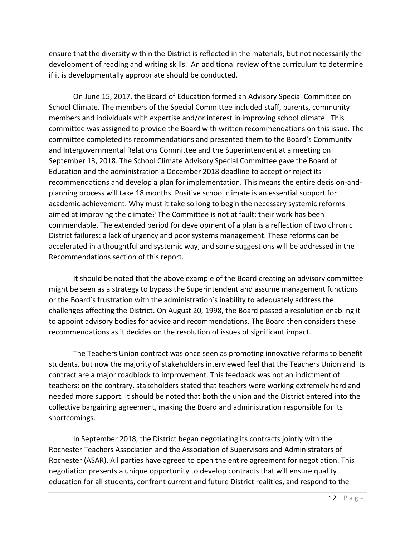ensure that the diversity within the District is reflected in the materials, but not necessarily the development of reading and writing skills. An additional review of the curriculum to determine if it is developmentally appropriate should be conducted.

On June 15, 2017, the Board of Education formed an Advisory Special Committee on School Climate. The members of the Special Committee included staff, parents, community members and individuals with expertise and/or interest in improving school climate. This committee was assigned to provide the Board with written recommendations on this issue. The committee completed its recommendations and presented them to the Board's Community and Intergovernmental Relations Committee and the Superintendent at a meeting on September 13, 2018. The School Climate Advisory Special Committee gave the Board of Education and the administration a December 2018 deadline to accept or reject its recommendations and develop a plan for implementation. This means the entire decision-andplanning process will take 18 months. Positive school climate is an essential support for academic achievement. Why must it take so long to begin the necessary systemic reforms aimed at improving the climate? The Committee is not at fault; their work has been commendable. The extended period for development of a plan is a reflection of two chronic District failures: a lack of urgency and poor systems management. These reforms can be accelerated in a thoughtful and systemic way, and some suggestions will be addressed in the Recommendations section of this report.

It should be noted that the above example of the Board creating an advisory committee might be seen as a strategy to bypass the Superintendent and assume management functions or the Board's frustration with the administration's inability to adequately address the challenges affecting the District. On August 20, 1998, the Board passed a resolution enabling it to appoint advisory bodies for advice and recommendations. The Board then considers these recommendations as it decides on the resolution of issues of significant impact.

The Teachers Union contract was once seen as promoting innovative reforms to benefit students, but now the majority of stakeholders interviewed feel that the Teachers Union and its contract are a major roadblock to improvement. This feedback was not an indictment of teachers; on the contrary, stakeholders stated that teachers were working extremely hard and needed more support. It should be noted that both the union and the District entered into the collective bargaining agreement, making the Board and administration responsible for its shortcomings.

In September 2018, the District began negotiating its contracts jointly with the Rochester Teachers Association and the Association of Supervisors and Administrators of Rochester (ASAR). All parties have agreed to open the entire agreement for negotiation. This negotiation presents a unique opportunity to develop contracts that will ensure quality education for all students, confront current and future District realities, and respond to the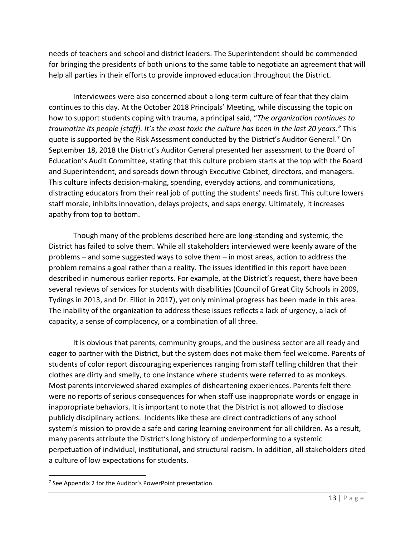needs of teachers and school and district leaders. The Superintendent should be commended for bringing the presidents of both unions to the same table to negotiate an agreement that will help all parties in their efforts to provide improved education throughout the District.

Interviewees were also concerned about a long-term culture of fear that they claim continues to this day. At the October 2018 Principals' Meeting, while discussing the topic on how to support students coping with trauma, a principal said, "*The organization continues to traumatize its people [staff]. It's the most toxic the culture has been in the last 20 years."* This quote is supported by the Risk Assessment conducted by the District's Auditor General.<sup>7</sup> On September 18, 2018 the District's Auditor General presented her assessment to the Board of Education's Audit Committee, stating that this culture problem starts at the top with the Board and Superintendent, and spreads down through Executive Cabinet, directors, and managers. This culture infects decision-making, spending, everyday actions, and communications, distracting educators from their real job of putting the students' needs first. This culture lowers staff morale, inhibits innovation, delays projects, and saps energy. Ultimately, it increases apathy from top to bottom.

Though many of the problems described here are long-standing and systemic, the District has failed to solve them. While all stakeholders interviewed were keenly aware of the problems – and some suggested ways to solve them – in most areas, action to address the problem remains a goal rather than a reality. The issues identified in this report have been described in numerous earlier reports. For example, at the District's request, there have been several reviews of services for students with disabilities (Council of Great City Schools in 2009, Tydings in 2013, and Dr. Elliot in 2017), yet only minimal progress has been made in this area. The inability of the organization to address these issues reflects a lack of urgency, a lack of capacity, a sense of complacency, or a combination of all three.

It is obvious that parents, community groups, and the business sector are all ready and eager to partner with the District, but the system does not make them feel welcome. Parents of students of color report discouraging experiences ranging from staff telling children that their clothes are dirty and smelly, to one instance where students were referred to as monkeys. Most parents interviewed shared examples of disheartening experiences. Parents felt there were no reports of serious consequences for when staff use inappropriate words or engage in inappropriate behaviors. It is important to note that the District is not allowed to disclose publicly disciplinary actions. Incidents like these are direct contradictions of any school system's mission to provide a safe and caring learning environment for all children. As a result, many parents attribute the District's long history of underperforming to a systemic perpetuation of individual, institutional, and structural racism. In addition, all stakeholders cited a culture of low expectations for students.

<sup>&</sup>lt;sup>7</sup> See Appendix 2 for the Auditor's PowerPoint presentation.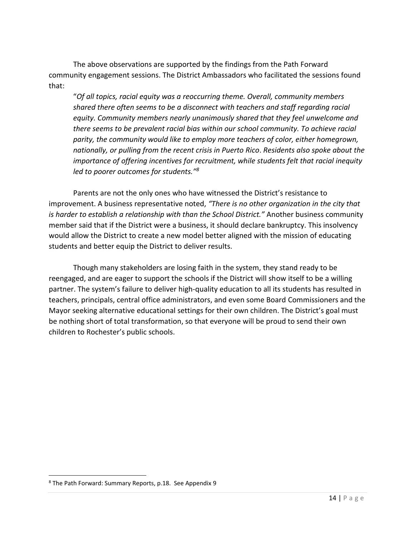The above observations are supported by the findings from the Path Forward community engagement sessions. The District Ambassadors who facilitated the sessions found that:

"*Of all topics, racial equity was a reoccurring theme. Overall, community members shared there often seems to be a disconnect with teachers and staff regarding racial equity. Community members nearly unanimously shared that they feel unwelcome and there seems to be prevalent racial bias within our school community. To achieve racial parity, the community would like to employ more teachers of color, either homegrown, nationally, or pulling from the recent crisis in Puerto Rico*. *Residents also spoke about the importance of offering incentives for recruitment, while students felt that racial inequity led to poorer outcomes for students."<sup>8</sup>*

Parents are not the only ones who have witnessed the District's resistance to improvement. A business representative noted, *"There is no other organization in the city that is harder to establish a relationship with than the School District."* Another business community member said that if the District were a business, it should declare bankruptcy. This insolvency would allow the District to create a new model better aligned with the mission of educating students and better equip the District to deliver results.

Though many stakeholders are losing faith in the system, they stand ready to be reengaged, and are eager to support the schools if the District will show itself to be a willing partner. The system's failure to deliver high-quality education to all its students has resulted in teachers, principals, central office administrators, and even some Board Commissioners and the Mayor seeking alternative educational settings for their own children. The District's goal must be nothing short of total transformation, so that everyone will be proud to send their own children to Rochester's public schools.

<sup>8</sup> The Path Forward: Summary Reports, p.18. See Appendix 9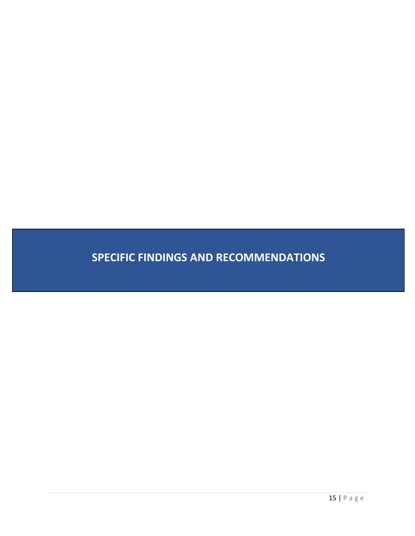**SPECIFIC FINDINGS AND RECOMMENDATIONS**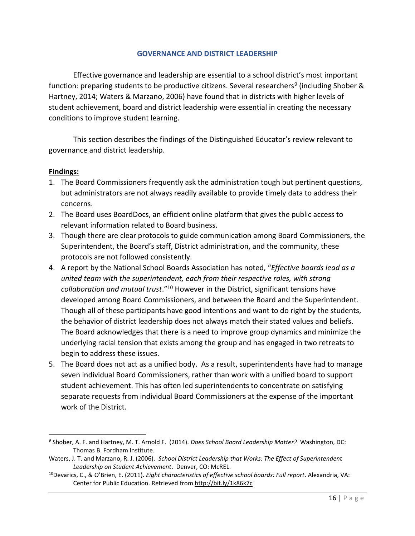#### **GOVERNANCE AND DISTRICT LEADERSHIP**

Effective governance and leadership are essential to a school district's most important function: preparing students to be productive citizens. Several researchers<sup>9</sup> (including Shober & Hartney, 2014; Waters & Marzano, 2006) have found that in districts with higher levels of student achievement, board and district leadership were essential in creating the necessary conditions to improve student learning.

This section describes the findings of the Distinguished Educator's review relevant to governance and district leadership.

#### **Findings:**

l

- 1. The Board Commissioners frequently ask the administration tough but pertinent questions, but administrators are not always readily available to provide timely data to address their concerns.
- 2. The Board uses BoardDocs, an efficient online platform that gives the public access to relevant information related to Board business.
- 3. Though there are clear protocols to guide communication among Board Commissioners, the Superintendent, the Board's staff, District administration, and the community, these protocols are not followed consistently.
- 4. A report by the National School Boards Association has noted, "*Effective boards lead as a united team with the superintendent, each from their respective roles, with strong collaboration and mutual trust*."<sup>10</sup> However in the District, significant tensions have developed among Board Commissioners, and between the Board and the Superintendent. Though all of these participants have good intentions and want to do right by the students, the behavior of district leadership does not always match their stated values and beliefs. The Board acknowledges that there is a need to improve group dynamics and minimize the underlying racial tension that exists among the group and has engaged in two retreats to begin to address these issues.
- 5. The Board does not act as a unified body. As a result, superintendents have had to manage seven individual Board Commissioners, rather than work with a unified board to support student achievement. This has often led superintendents to concentrate on satisfying separate requests from individual Board Commissioners at the expense of the important work of the District.

<sup>9</sup> Shober, A. F. and Hartney, M. T. Arnold F. (2014). *Does School Board Leadership Matter?* Washington, DC: Thomas B. Fordham Institute.

Waters, J. T. and Marzano, R. J. (2006). *School District Leadership that Works: The Effect of Superintendent Leadership on Student Achievement*. Denver, CO: McREL.

<sup>10</sup>Devarics, C., & O'Brien, E. (2011). *Eight characteristics of effective school boards: Full report*. Alexandria, VA: Center for Public Education. Retrieved fro[m http://bit.ly/1k86k7c](http://bit.ly/1k86k7c)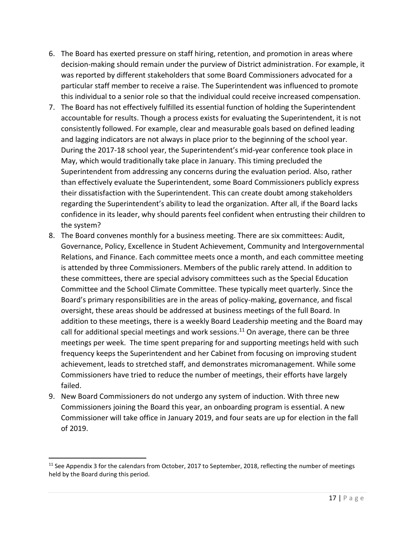- 6. The Board has exerted pressure on staff hiring, retention, and promotion in areas where decision-making should remain under the purview of District administration. For example, it was reported by different stakeholders that some Board Commissioners advocated for a particular staff member to receive a raise. The Superintendent was influenced to promote this individual to a senior role so that the individual could receive increased compensation.
- 7. The Board has not effectively fulfilled its essential function of holding the Superintendent accountable for results. Though a process exists for evaluating the Superintendent, it is not consistently followed. For example, clear and measurable goals based on defined leading and lagging indicators are not always in place prior to the beginning of the school year. During the 2017-18 school year, the Superintendent's mid-year conference took place in May, which would traditionally take place in January. This timing precluded the Superintendent from addressing any concerns during the evaluation period. Also, rather than effectively evaluate the Superintendent, some Board Commissioners publicly express their dissatisfaction with the Superintendent. This can create doubt among stakeholders regarding the Superintendent's ability to lead the organization. After all, if the Board lacks confidence in its leader, why should parents feel confident when entrusting their children to the system?
- 8. The Board convenes monthly for a business meeting. There are six committees: Audit, Governance, Policy, Excellence in Student Achievement, Community and Intergovernmental Relations, and Finance. Each committee meets once a month, and each committee meeting is attended by three Commissioners. Members of the public rarely attend. In addition to these committees, there are special advisory committees such as the Special Education Committee and the School Climate Committee. These typically meet quarterly. Since the Board's primary responsibilities are in the areas of policy-making, governance, and fiscal oversight, these areas should be addressed at business meetings of the full Board. In addition to these meetings, there is a weekly Board Leadership meeting and the Board may call for additional special meetings and work sessions.<sup>11</sup> On average, there can be three meetings per week. The time spent preparing for and supporting meetings held with such frequency keeps the Superintendent and her Cabinet from focusing on improving student achievement, leads to stretched staff, and demonstrates micromanagement. While some Commissioners have tried to reduce the number of meetings, their efforts have largely failed.
- 9. New Board Commissioners do not undergo any system of induction. With three new Commissioners joining the Board this year, an onboarding program is essential. A new Commissioner will take office in January 2019, and four seats are up for election in the fall of 2019.

 $11$  See Appendix 3 for the calendars from October, 2017 to September, 2018, reflecting the number of meetings held by the Board during this period.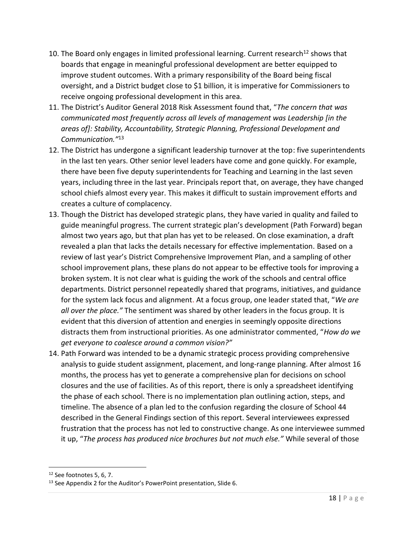- 10. The Board only engages in limited professional learning. Current research<sup>12</sup> shows that boards that engage in meaningful professional development are better equipped to improve student outcomes. With a primary responsibility of the Board being fiscal oversight, and a District budget close to \$1 billion, it is imperative for Commissioners to receive ongoing professional development in this area.
- 11. The District's Auditor General 2018 Risk Assessment found that, "*The concern that was communicated most frequently across all levels of management was Leadership [in the areas of]: Stability, Accountability, Strategic Planning, Professional Development and Communication."* 13
- 12. The District has undergone a significant leadership turnover at the top: five superintendents in the last ten years. Other senior level leaders have come and gone quickly. For example, there have been five deputy superintendents for Teaching and Learning in the last seven years, including three in the last year. Principals report that, on average, they have changed school chiefs almost every year. This makes it difficult to sustain improvement efforts and creates a culture of complacency.
- 13. Though the District has developed strategic plans, they have varied in quality and failed to guide meaningful progress. The current strategic plan's development (Path Forward) began almost two years ago, but that plan has yet to be released. On close examination, a draft revealed a plan that lacks the details necessary for effective implementation. Based on a review of last year's District Comprehensive Improvement Plan, and a sampling of other school improvement plans, these plans do not appear to be effective tools for improving a broken system. It is not clear what is guiding the work of the schools and central office departments. District personnel repeatedly shared that programs, initiatives, and guidance for the system lack focus and alignment. At a focus group, one leader stated that, "*We are all over the place."* The sentiment was shared by other leaders in the focus group. It is evident that this diversion of attention and energies in seemingly opposite directions distracts them from instructional priorities. As one administrator commented, "*How do we get everyone to coalesce around a common vision?"*
- 14. Path Forward was intended to be a dynamic strategic process providing comprehensive analysis to guide student assignment, placement, and long-range planning. After almost 16 months, the process has yet to generate a comprehensive plan for decisions on school closures and the use of facilities. As of this report, there is only a spreadsheet identifying the phase of each school. There is no implementation plan outlining action, steps, and timeline. The absence of a plan led to the confusion regarding the closure of School 44 described in the General Findings section of this report. Several interviewees expressed frustration that the process has not led to constructive change. As one interviewee summed it up, "*The process has produced nice brochures but not much else."* While several of those

<sup>12</sup> See footnotes 5, 6, 7.

<sup>13</sup> See Appendix 2 for the Auditor's PowerPoint presentation, Slide 6.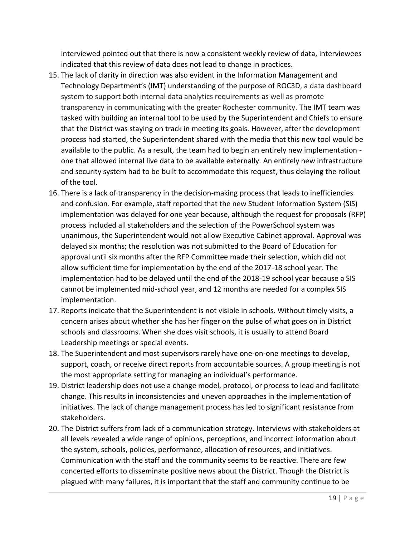interviewed pointed out that there is now a consistent weekly review of data, interviewees indicated that this review of data does not lead to change in practices.

- 15. The lack of clarity in direction was also evident in the Information Management and Technology Department's (IMT) understanding of the purpose of ROC3D, a data dashboard system to support both internal data analytics requirements as well as promote transparency in communicating with the greater Rochester community. The IMT team was tasked with building an internal tool to be used by the Superintendent and Chiefs to ensure that the District was staying on track in meeting its goals. However, after the development process had started, the Superintendent shared with the media that this new tool would be available to the public. As a result, the team had to begin an entirely new implementation one that allowed internal live data to be available externally. An entirely new infrastructure and security system had to be built to accommodate this request, thus delaying the rollout of the tool.
- 16. There is a lack of transparency in the decision-making process that leads to inefficiencies and confusion. For example, staff reported that the new Student Information System (SIS) implementation was delayed for one year because, although the request for proposals (RFP) process included all stakeholders and the selection of the PowerSchool system was unanimous, the Superintendent would not allow Executive Cabinet approval. Approval was delayed six months; the resolution was not submitted to the Board of Education for approval until six months after the RFP Committee made their selection, which did not allow sufficient time for implementation by the end of the 2017-18 school year. The implementation had to be delayed until the end of the 2018-19 school year because a SIS cannot be implemented mid-school year, and 12 months are needed for a complex SIS implementation.
- 17. Reports indicate that the Superintendent is not visible in schools. Without timely visits, a concern arises about whether she has her finger on the pulse of what goes on in District schools and classrooms. When she does visit schools, it is usually to attend Board Leadership meetings or special events.
- 18. The Superintendent and most supervisors rarely have one-on-one meetings to develop, support, coach, or receive direct reports from accountable sources. A group meeting is not the most appropriate setting for managing an individual's performance.
- 19. District leadership does not use a change model, protocol, or process to lead and facilitate change. This results in inconsistencies and uneven approaches in the implementation of initiatives. The lack of change management process has led to significant resistance from stakeholders.
- 20. The District suffers from lack of a communication strategy. Interviews with stakeholders at all levels revealed a wide range of opinions, perceptions, and incorrect information about the system, schools, policies, performance, allocation of resources, and initiatives. Communication with the staff and the community seems to be reactive. There are few concerted efforts to disseminate positive news about the District. Though the District is plagued with many failures, it is important that the staff and community continue to be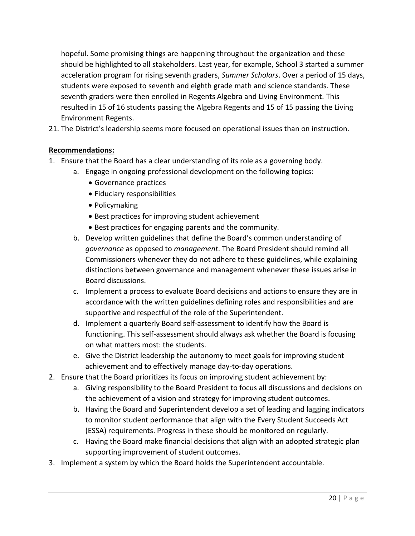hopeful. Some promising things are happening throughout the organization and these should be highlighted to all stakeholders. Last year, for example, School 3 started a summer acceleration program for rising seventh graders, *Summer Scholars*. Over a period of 15 days, students were exposed to seventh and eighth grade math and science standards. These seventh graders were then enrolled in Regents Algebra and Living Environment. This resulted in 15 of 16 students passing the Algebra Regents and 15 of 15 passing the Living Environment Regents.

21. The District's leadership seems more focused on operational issues than on instruction.

# **Recommendations:**

- 1. Ensure that the Board has a clear understanding of its role as a governing body.
	- a. Engage in ongoing professional development on the following topics:
		- Governance practices
		- Fiduciary responsibilities
		- Policymaking
		- Best practices for improving student achievement
		- Best practices for engaging parents and the community.
	- b. Develop written guidelines that define the Board's common understanding of *governance* as opposed to *management*. The Board President should remind all Commissioners whenever they do not adhere to these guidelines, while explaining distinctions between governance and management whenever these issues arise in Board discussions.
	- c. Implement a process to evaluate Board decisions and actions to ensure they are in accordance with the written guidelines defining roles and responsibilities and are supportive and respectful of the role of the Superintendent.
	- d. Implement a quarterly Board self-assessment to identify how the Board is functioning. This self-assessment should always ask whether the Board is focusing on what matters most: the students.
	- e. Give the District leadership the autonomy to meet goals for improving student achievement and to effectively manage day-to-day operations.
- 2. Ensure that the Board prioritizes its focus on improving student achievement by:
	- a. Giving responsibility to the Board President to focus all discussions and decisions on the achievement of a vision and strategy for improving student outcomes.
	- b. Having the Board and Superintendent develop a set of leading and lagging indicators to monitor student performance that align with the Every Student Succeeds Act (ESSA) requirements. Progress in these should be monitored on regularly.
	- c. Having the Board make financial decisions that align with an adopted strategic plan supporting improvement of student outcomes.
- 3. Implement a system by which the Board holds the Superintendent accountable.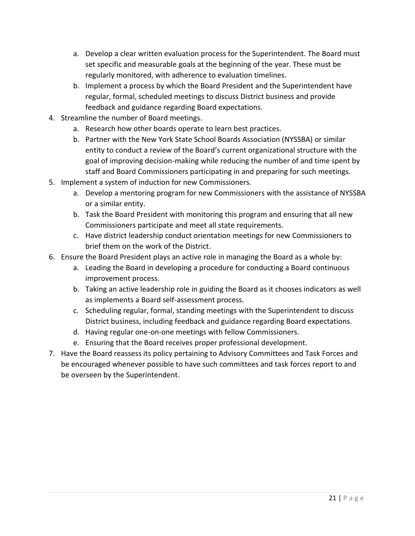- a. Develop a clear written evaluation process for the Superintendent. The Board must set specific and measurable goals at the beginning of the year. These must be regularly monitored, with adherence to evaluation timelines.
- b. Implement a process by which the Board President and the Superintendent have regular, formal, scheduled meetings to discuss District business and provide feedback and guidance regarding Board expectations.
- 4. Streamline the number of Board meetings.
	- a. Research how other boards operate to learn best practices.
	- b. Partner with the New York State School Boards Association (NYSSBA) or similar entity to conduct a review of the Board's current organizational structure with the goal of improving decision-making while reducing the number of and time spent by staff and Board Commissioners participating in and preparing for such meetings.
- 5. Implement a system of induction for new Commissioners.
	- a. Develop a mentoring program for new Commissioners with the assistance of NYSSBA or a similar entity.
	- b. Task the Board President with monitoring this program and ensuring that all new Commissioners participate and meet all state requirements.
	- c. Have district leadership conduct orientation meetings for new Commissioners to brief them on the work of the District.
- 6. Ensure the Board President plays an active role in managing the Board as a whole by:
	- a. Leading the Board in developing a procedure for conducting a Board continuous improvement process.
	- b. Taking an active leadership role in guiding the Board as it chooses indicators as well as implements a Board self-assessment process.
	- c. Scheduling regular, formal, standing meetings with the Superintendent to discuss District business, including feedback and guidance regarding Board expectations.
	- d. Having regular one-on-one meetings with fellow Commissioners.
	- e. Ensuring that the Board receives proper professional development.
- 7. Have the Board reassess its policy pertaining to Advisory Committees and Task Forces and be encouraged whenever possible to have such committees and task forces report to and be overseen by the Superintendent.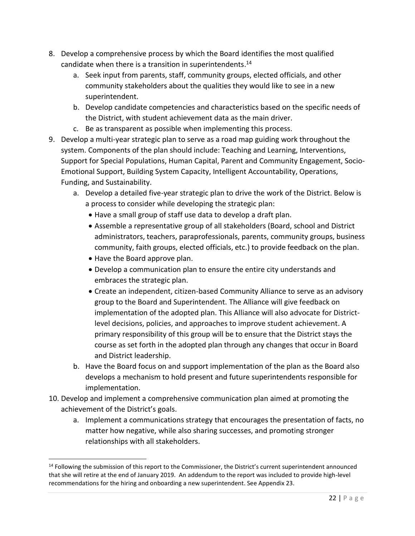- 8. Develop a comprehensive process by which the Board identifies the most qualified candidate when there is a transition in superintendents.<sup>14</sup>
	- a. Seek input from parents, staff, community groups, elected officials, and other community stakeholders about the qualities they would like to see in a new superintendent.
	- b. Develop candidate competencies and characteristics based on the specific needs of the District, with student achievement data as the main driver.
	- c. Be as transparent as possible when implementing this process.
- 9. Develop a multi-year strategic plan to serve as a road map guiding work throughout the system. Components of the plan should include: Teaching and Learning, Interventions, Support for Special Populations, Human Capital, Parent and Community Engagement, Socio-Emotional Support, Building System Capacity, Intelligent Accountability, Operations, Funding, and Sustainability.
	- a. Develop a detailed five-year strategic plan to drive the work of the District. Below is a process to consider while developing the strategic plan:
		- Have a small group of staff use data to develop a draft plan.
		- Assemble a representative group of all stakeholders (Board, school and District administrators, teachers, paraprofessionals, parents, community groups, business community, faith groups, elected officials, etc.) to provide feedback on the plan.
		- Have the Board approve plan.

 $\overline{a}$ 

- Develop a communication plan to ensure the entire city understands and embraces the strategic plan.
- Create an independent, citizen-based Community Alliance to serve as an advisory group to the Board and Superintendent. The Alliance will give feedback on implementation of the adopted plan. This Alliance will also advocate for Districtlevel decisions, policies, and approaches to improve student achievement. A primary responsibility of this group will be to ensure that the District stays the course as set forth in the adopted plan through any changes that occur in Board and District leadership.
- b. Have the Board focus on and support implementation of the plan as the Board also develops a mechanism to hold present and future superintendents responsible for implementation.
- 10. Develop and implement a comprehensive communication plan aimed at promoting the achievement of the District's goals.
	- a. Implement a communications strategy that encourages the presentation of facts, no matter how negative, while also sharing successes, and promoting stronger relationships with all stakeholders.

<sup>&</sup>lt;sup>14</sup> Following the submission of this report to the Commissioner, the District's current superintendent announced that she will retire at the end of January 2019. An addendum to the report was included to provide high-level recommendations for the hiring and onboarding a new superintendent. See Appendix 23.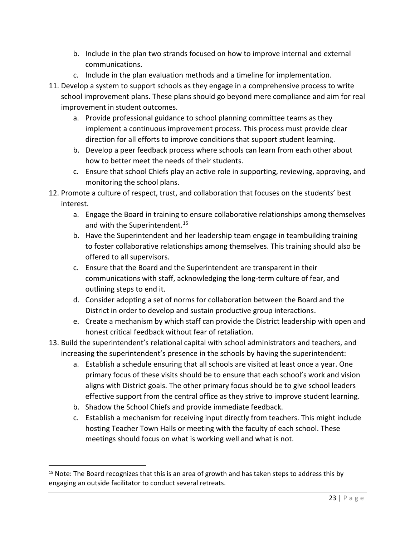- b. Include in the plan two strands focused on how to improve internal and external communications.
- c. Include in the plan evaluation methods and a timeline for implementation.
- 11. Develop a system to support schools as they engage in a comprehensive process to write school improvement plans. These plans should go beyond mere compliance and aim for real improvement in student outcomes.
	- a. Provide professional guidance to school planning committee teams as they implement a continuous improvement process. This process must provide clear direction for all efforts to improve conditions that support student learning.
	- b. Develop a peer feedback process where schools can learn from each other about how to better meet the needs of their students.
	- c. Ensure that school Chiefs play an active role in supporting, reviewing, approving, and monitoring the school plans.
- 12. Promote a culture of respect, trust, and collaboration that focuses on the students' best interest.
	- a. Engage the Board in training to ensure collaborative relationships among themselves and with the Superintendent.<sup>15</sup>
	- b. Have the Superintendent and her leadership team engage in teambuilding training to foster collaborative relationships among themselves. This training should also be offered to all supervisors.
	- c. Ensure that the Board and the Superintendent are transparent in their communications with staff, acknowledging the long-term culture of fear, and outlining steps to end it.
	- d. Consider adopting a set of norms for collaboration between the Board and the District in order to develop and sustain productive group interactions.
	- e. Create a mechanism by which staff can provide the District leadership with open and honest critical feedback without fear of retaliation.
- 13. Build the superintendent's relational capital with school administrators and teachers, and increasing the superintendent's presence in the schools by having the superintendent:
	- a. Establish a schedule ensuring that all schools are visited at least once a year. One primary focus of these visits should be to ensure that each school's work and vision aligns with District goals. The other primary focus should be to give school leaders effective support from the central office as they strive to improve student learning.
	- b. Shadow the School Chiefs and provide immediate feedback.

 $\overline{\phantom{a}}$ 

c. Establish a mechanism for receiving input directly from teachers. This might include hosting Teacher Town Halls or meeting with the faculty of each school. These meetings should focus on what is working well and what is not.

<sup>&</sup>lt;sup>15</sup> Note: The Board recognizes that this is an area of growth and has taken steps to address this by engaging an outside facilitator to conduct several retreats.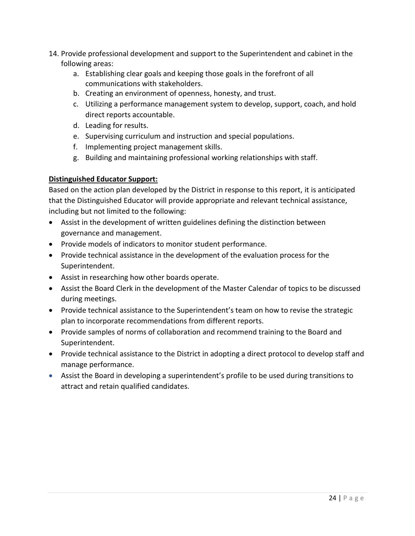- 14. Provide professional development and support to the Superintendent and cabinet in the following areas:
	- a. Establishing clear goals and keeping those goals in the forefront of all communications with stakeholders.
	- b. Creating an environment of openness, honesty, and trust.
	- c. Utilizing a performance management system to develop, support, coach, and hold direct reports accountable.
	- d. Leading for results.
	- e. Supervising curriculum and instruction and special populations.
	- f. Implementing project management skills.
	- g. Building and maintaining professional working relationships with staff.

# **Distinguished Educator Support:**

Based on the action plan developed by the District in response to this report, it is anticipated that the Distinguished Educator will provide appropriate and relevant technical assistance, including but not limited to the following:

- Assist in the development of written guidelines defining the distinction between governance and management.
- Provide models of indicators to monitor student performance.
- Provide technical assistance in the development of the evaluation process for the Superintendent.
- Assist in researching how other boards operate.
- Assist the Board Clerk in the development of the Master Calendar of topics to be discussed during meetings.
- Provide technical assistance to the Superintendent's team on how to revise the strategic plan to incorporate recommendations from different reports.
- Provide samples of norms of collaboration and recommend training to the Board and Superintendent.
- Provide technical assistance to the District in adopting a direct protocol to develop staff and manage performance.
- Assist the Board in developing a superintendent's profile to be used during transitions to attract and retain qualified candidates.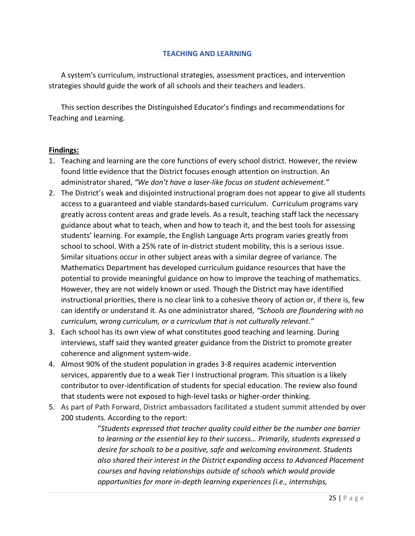#### **TEACHING AND LEARNING**

A system's curriculum, instructional strategies, assessment practices, and intervention strategies should guide the work of all schools and their teachers and leaders.

This section describes the Distinguished Educator's findings and recommendations for Teaching and Learning.

#### **Findings:**

- 1. Teaching and learning are the core functions of every school district. However, the review found little evidence that the District focuses enough attention on instruction. An administrator shared, *"We don't have a laser-like focus on student achievement."*
- 2. The District's weak and disjointed instructional program does not appear to give all students access to a guaranteed and viable standards-based curriculum. Curriculum programs vary greatly across content areas and grade levels. As a result, teaching staff lack the necessary guidance about what to teach, when and how to teach it, and the best tools for assessing students' learning. For example, the English Language Arts program varies greatly from school to school. With a 25% rate of in-district student mobility, this is a serious issue. Similar situations occur in other subject areas with a similar degree of variance. The Mathematics Department has developed curriculum guidance resources that have the potential to provide meaningful guidance on how to improve the teaching of mathematics. However, they are not widely known or used. Though the District may have identified instructional priorities, there is no clear link to a cohesive theory of action or, if there is, few can identify or understand it. As one administrator shared, *"Schools are floundering with no curriculum, wrong curriculum, or a curriculum that is not culturally relevant."*
- 3. Each school has its own view of what constitutes good teaching and learning. During interviews, staff said they wanted greater guidance from the District to promote greater coherence and alignment system-wide.
- 4. Almost 90% of the student population in grades 3-8 requires academic intervention services, apparently due to a weak Tier I instructional program. This situation is a likely contributor to over-identification of students for special education. The review also found that students were not exposed to high-level tasks or higher-order thinking.
- 5. As part of Path Forward, District ambassadors facilitated a student summit attended by over 200 students. According to the report:

"*Students expressed that teacher quality could either be the number one barrier to learning or the essential key to their success… Primarily, students expressed a desire for schools to be a positive, safe and welcoming environment. Students also shared their interest in the District expanding access to Advanced Placement courses and having relationships outside of schools which would provide opportunities for more in-depth learning experiences (i.e., internships,*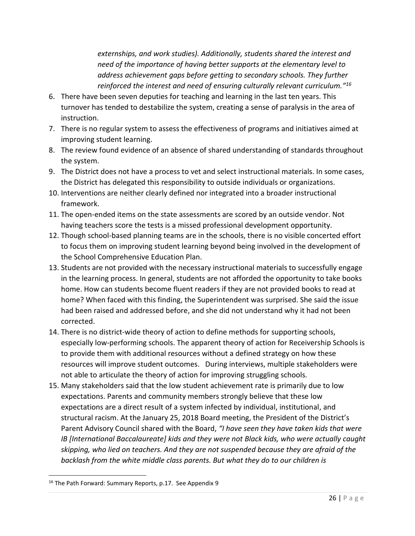*externships, and work studies). Additionally, students shared the interest and need of the importance of having better supports at the elementary level to address achievement gaps before getting to secondary schools. They further reinforced the interest and need of ensuring culturally relevant curriculum." 16*

- 6. There have been seven deputies for teaching and learning in the last ten years. This turnover has tended to destabilize the system, creating a sense of paralysis in the area of instruction.
- 7. There is no regular system to assess the effectiveness of programs and initiatives aimed at improving student learning.
- 8. The review found evidence of an absence of shared understanding of standards throughout the system.
- 9. The District does not have a process to vet and select instructional materials. In some cases, the District has delegated this responsibility to outside individuals or organizations.
- 10. Interventions are neither clearly defined nor integrated into a broader instructional framework.
- 11. The open-ended items on the state assessments are scored by an outside vendor. Not having teachers score the tests is a missed professional development opportunity.
- 12. Though school-based planning teams are in the schools, there is no visible concerted effort to focus them on improving student learning beyond being involved in the development of the School Comprehensive Education Plan.
- 13. Students are not provided with the necessary instructional materials to successfully engage in the learning process. In general, students are not afforded the opportunity to take books home. How can students become fluent readers if they are not provided books to read at home? When faced with this finding, the Superintendent was surprised. She said the issue had been raised and addressed before, and she did not understand why it had not been corrected.
- 14. There is no district-wide theory of action to define methods for supporting schools, especially low-performing schools. The apparent theory of action for Receivership Schools is to provide them with additional resources without a defined strategy on how these resources will improve student outcomes. During interviews, multiple stakeholders were not able to articulate the theory of action for improving struggling schools.
- 15. Many stakeholders said that the low student achievement rate is primarily due to low expectations. Parents and community members strongly believe that these low expectations are a direct result of a system infected by individual, institutional, and structural racism. At the January 25, 2018 Board meeting, the President of the District's Parent Advisory Council shared with the Board, *"I have seen they have taken kids that were IB [International Baccalaureate] kids and they were not Black kids, who were actually caught skipping, who lied on teachers. And they are not suspended because they are afraid of the backlash from the white middle class parents. But what they do to our children is*

<sup>&</sup>lt;sup>16</sup> The Path Forward: Summary Reports, p.17. See Appendix 9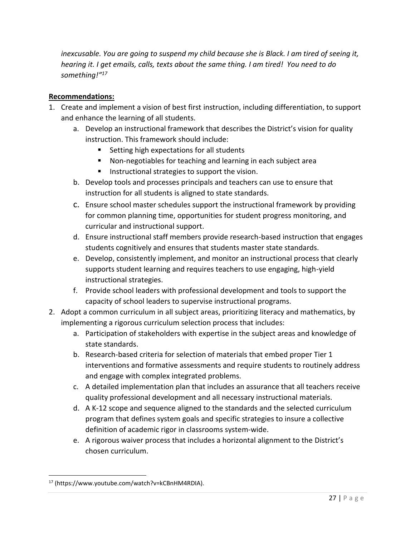*inexcusable. You are going to suspend my child because she is Black. I am tired of seeing it, hearing it. I get emails, calls, texts about the same thing. I am tired! You need to do something!"<sup>17</sup>*

# **Recommendations:**

- 1. Create and implement a vision of best first instruction, including differentiation, to support and enhance the learning of all students.
	- a. Develop an instructional framework that describes the District's vision for quality instruction. This framework should include:
		- Setting high expectations for all students
		- Non-negotiables for teaching and learning in each subject area
		- Instructional strategies to support the vision.
	- b. Develop tools and processes principals and teachers can use to ensure that instruction for all students is aligned to state standards.
	- c. Ensure school master schedules support the instructional framework by providing for common planning time, opportunities for student progress monitoring, and curricular and instructional support.
	- d. Ensure instructional staff members provide research-based instruction that engages students cognitively and ensures that students master state standards.
	- e. Develop, consistently implement, and monitor an instructional process that clearly supports student learning and requires teachers to use engaging, high-yield instructional strategies.
	- f. Provide school leaders with professional development and tools to support the capacity of school leaders to supervise instructional programs.
- 2. Adopt a common curriculum in all subject areas, prioritizing literacy and mathematics, by implementing a rigorous curriculum selection process that includes:
	- a. Participation of stakeholders with expertise in the subject areas and knowledge of state standards.
	- b. Research-based criteria for selection of materials that embed proper Tier 1 interventions and formative assessments and require students to routinely address and engage with complex integrated problems.
	- c. A detailed implementation plan that includes an assurance that all teachers receive quality professional development and all necessary instructional materials.
	- d. A K-12 scope and sequence aligned to the standards and the selected curriculum program that defines system goals and specific strategies to insure a collective definition of academic rigor in classrooms system-wide.
	- e. A rigorous waiver process that includes a horizontal alignment to the District's chosen curriculum.

<sup>17</sup> (https://www.youtube.com/watch?v=kCBnHM4RDIA).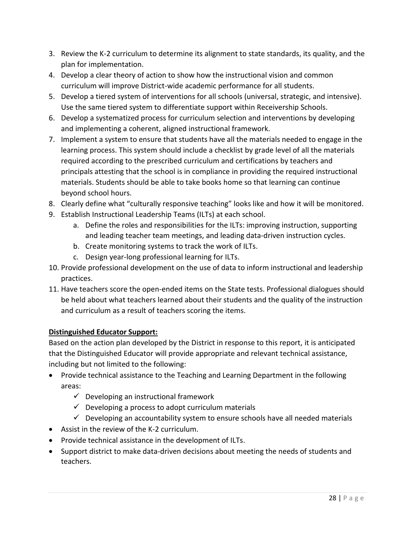- 3. Review the K-2 curriculum to determine its alignment to state standards, its quality, and the plan for implementation.
- 4. Develop a clear theory of action to show how the instructional vision and common curriculum will improve District-wide academic performance for all students.
- 5. Develop a tiered system of interventions for all schools (universal, strategic, and intensive). Use the same tiered system to differentiate support within Receivership Schools.
- 6. Develop a systematized process for curriculum selection and interventions by developing and implementing a coherent, aligned instructional framework.
- 7. Implement a system to ensure that students have all the materials needed to engage in the learning process. This system should include a checklist by grade level of all the materials required according to the prescribed curriculum and certifications by teachers and principals attesting that the school is in compliance in providing the required instructional materials. Students should be able to take books home so that learning can continue beyond school hours.
- 8. Clearly define what "culturally responsive teaching" looks like and how it will be monitored.
- 9. Establish Instructional Leadership Teams (ILTs) at each school.
	- a. Define the roles and responsibilities for the ILTs: improving instruction, supporting and leading teacher team meetings, and leading data-driven instruction cycles.
	- b. Create monitoring systems to track the work of ILTs.
	- c. Design year-long professional learning for ILTs.
- 10. Provide professional development on the use of data to inform instructional and leadership practices.
- 11. Have teachers score the open-ended items on the State tests. Professional dialogues should be held about what teachers learned about their students and the quality of the instruction and curriculum as a result of teachers scoring the items.

# **Distinguished Educator Support:**

Based on the action plan developed by the District in response to this report, it is anticipated that the Distinguished Educator will provide appropriate and relevant technical assistance, including but not limited to the following:

- Provide technical assistance to the Teaching and Learning Department in the following areas:
	- $\checkmark$  Developing an instructional framework
	- $\checkmark$  Developing a process to adopt curriculum materials
	- $\checkmark$  Developing an accountability system to ensure schools have all needed materials
- Assist in the review of the K-2 curriculum.
- Provide technical assistance in the development of ILTs.
- Support district to make data-driven decisions about meeting the needs of students and teachers.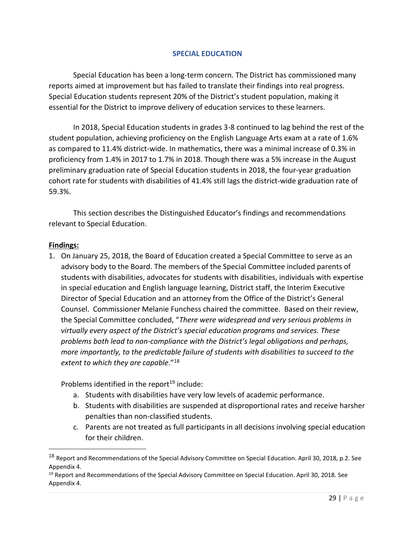#### **SPECIAL EDUCATION**

Special Education has been a long-term concern. The District has commissioned many reports aimed at improvement but has failed to translate their findings into real progress. Special Education students represent 20% of the District's student population, making it essential for the District to improve delivery of education services to these learners.

In 2018, Special Education students in grades 3-8 continued to lag behind the rest of the student population, achieving proficiency on the English Language Arts exam at a rate of 1.6% as compared to 11.4% district-wide. In mathematics, there was a minimal increase of 0.3% in proficiency from 1.4% in 2017 to 1.7% in 2018. Though there was a 5% increase in the August preliminary graduation rate of Special Education students in 2018, the four-year graduation cohort rate for students with disabilities of 41.4% still lags the district-wide graduation rate of 59.3%.

This section describes the Distinguished Educator's findings and recommendations relevant to Special Education.

#### **Findings:**

 $\overline{\phantom{a}}$ 

1. On January 25, 2018, the Board of Education created a Special Committee to serve as an advisory body to the Board. The members of the Special Committee included parents of students with disabilities, advocates for students with disabilities, individuals with expertise in special education and English language learning, District staff, the Interim Executive Director of Special Education and an attorney from the Office of the District's General Counsel. Commissioner Melanie Funchess chaired the committee. Based on their review, the Special Committee concluded, "*There were widespread and very serious problems in virtually every aspect of the District's special education programs and services. These problems both lead to non-compliance with the District's legal obligations and perhaps, more importantly, to the predictable failure of students with disabilities to succeed to the extent to which they are capable*."<sup>18</sup>

Problems identified in the report<sup>19</sup> include:

- a. Students with disabilities have very low levels of academic performance.
- b. Students with disabilities are suspended at disproportional rates and receive harsher penalties than non-classified students.
- c. Parents are not treated as full participants in all decisions involving special education for their children.

<sup>&</sup>lt;sup>18</sup> Report and Recommendations of the Special Advisory Committee on Special Education. April 30, 2018, p.2. See Appendix 4.

<sup>&</sup>lt;sup>19</sup> Report and Recommendations of the Special Advisory Committee on Special Education. April 30, 2018. See Appendix 4.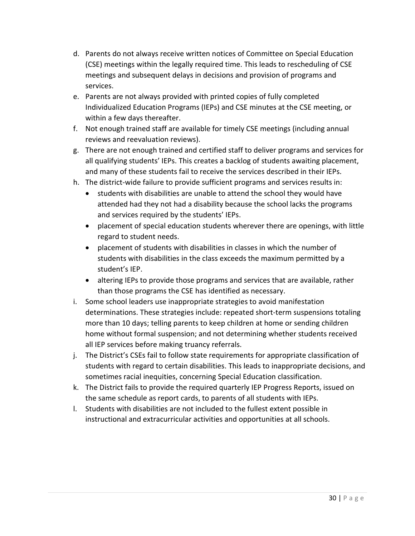- d. Parents do not always receive written notices of Committee on Special Education (CSE) meetings within the legally required time. This leads to rescheduling of CSE meetings and subsequent delays in decisions and provision of programs and services.
- e. Parents are not always provided with printed copies of fully completed Individualized Education Programs (IEPs) and CSE minutes at the CSE meeting, or within a few days thereafter.
- f. Not enough trained staff are available for timely CSE meetings (including annual reviews and reevaluation reviews).
- g. There are not enough trained and certified staff to deliver programs and services for all qualifying students' IEPs. This creates a backlog of students awaiting placement, and many of these students fail to receive the services described in their IEPs.
- h. The district-wide failure to provide sufficient programs and services results in:
	- students with disabilities are unable to attend the school they would have attended had they not had a disability because the school lacks the programs and services required by the students' IEPs.
	- placement of special education students wherever there are openings, with little regard to student needs.
	- placement of students with disabilities in classes in which the number of students with disabilities in the class exceeds the maximum permitted by a student's IEP.
	- altering IEPs to provide those programs and services that are available, rather than those programs the CSE has identified as necessary.
- i. Some school leaders use inappropriate strategies to avoid manifestation determinations. These strategies include: repeated short-term suspensions totaling more than 10 days; telling parents to keep children at home or sending children home without formal suspension; and not determining whether students received all IEP services before making truancy referrals.
- j. The District's CSEs fail to follow state requirements for appropriate classification of students with regard to certain disabilities. This leads to inappropriate decisions, and sometimes racial inequities, concerning Special Education classification.
- k. The District fails to provide the required quarterly IEP Progress Reports, issued on the same schedule as report cards, to parents of all students with IEPs.
- l. Students with disabilities are not included to the fullest extent possible in instructional and extracurricular activities and opportunities at all schools.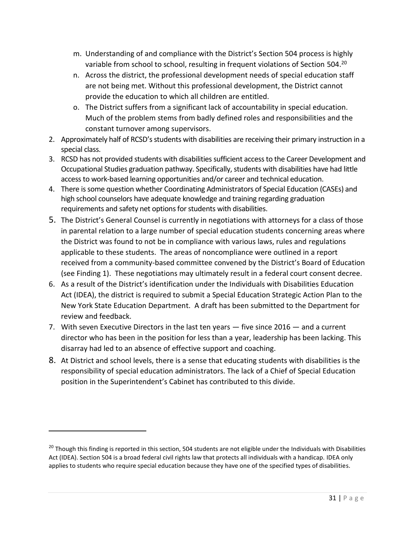- m. Understanding of and compliance with the District's Section 504 process is highly variable from school to school, resulting in frequent violations of Section 504.<sup>20</sup>
- n. Across the district, the professional development needs of special education staff are not being met. Without this professional development, the District cannot provide the education to which all children are entitled.
- o. The District suffers from a significant lack of accountability in special education. Much of the problem stems from badly defined roles and responsibilities and the constant turnover among supervisors.
- 2. Approximately half of RCSD's students with disabilities are receiving their primary instruction in a special class.
- 3. RCSD has not provided students with disabilities sufficient access to the Career Development and Occupational Studies graduation pathway. Specifically, students with disabilities have had little access to work-based learning opportunities and/or career and technical education.
- 4. There is some question whether Coordinating Administrators of Special Education (CASEs) and high school counselors have adequate knowledge and training regarding graduation requirements and safety net options for students with disabilities.
- 5. The District's General Counsel is currently in negotiations with attorneys for a class of those in parental relation to a large number of special education students concerning areas where the District was found to not be in compliance with various laws, rules and regulations applicable to these students. The areas of noncompliance were outlined in a report received from a community-based committee convened by the District's Board of Education (see Finding 1). These negotiations may ultimately result in a federal court consent decree.
- 6. As a result of the District's identification under the Individuals with Disabilities Education Act (IDEA), the district is required to submit a Special Education Strategic Action Plan to the New York State Education Department. A draft has been submitted to the Department for review and feedback.
- 7. With seven Executive Directors in the last ten years five since 2016 and a current director who has been in the position for less than a year, leadership has been lacking. This disarray had led to an absence of effective support and coaching.
- 8. At District and school levels, there is a sense that educating students with disabilities is the responsibility of special education administrators. The lack of a Chief of Special Education position in the Superintendent's Cabinet has contributed to this divide.

<sup>&</sup>lt;sup>20</sup> Though this finding is reported in this section, 504 students are not eligible under the Individuals with Disabilities Act (IDEA). Section 504 is a broad federal civil rights law that protects all individuals with a handicap. IDEA only applies to students who require special education because they have one of the specified types of disabilities.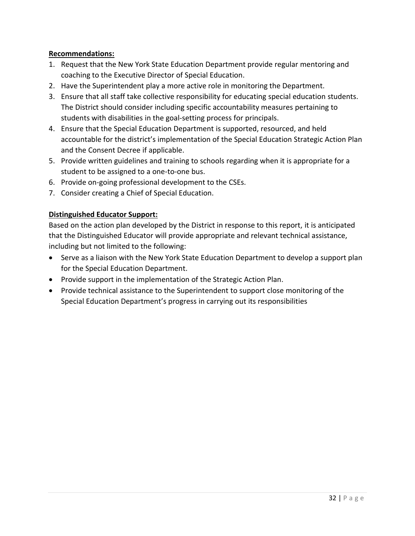# **Recommendations:**

- 1. Request that the New York State Education Department provide regular mentoring and coaching to the Executive Director of Special Education.
- 2. Have the Superintendent play a more active role in monitoring the Department.
- 3. Ensure that all staff take collective responsibility for educating special education students. The District should consider including specific accountability measures pertaining to students with disabilities in the goal-setting process for principals.
- 4. Ensure that the Special Education Department is supported, resourced, and held accountable for the district's implementation of the Special Education Strategic Action Plan and the Consent Decree if applicable.
- 5. Provide written guidelines and training to schools regarding when it is appropriate for a student to be assigned to a one-to-one bus.
- 6. Provide on-going professional development to the CSEs.
- 7. Consider creating a Chief of Special Education.

# **Distinguished Educator Support:**

Based on the action plan developed by the District in response to this report, it is anticipated that the Distinguished Educator will provide appropriate and relevant technical assistance, including but not limited to the following:

- Serve as a liaison with the New York State Education Department to develop a support plan for the Special Education Department.
- Provide support in the implementation of the Strategic Action Plan.
- Provide technical assistance to the Superintendent to support close monitoring of the Special Education Department's progress in carrying out its responsibilities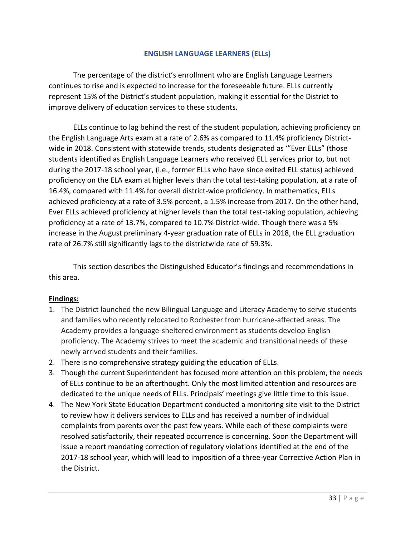#### **ENGLISH LANGUAGE LEARNERS (ELLs)**

The percentage of the district's enrollment who are English Language Learners continues to rise and is expected to increase for the foreseeable future. ELLs currently represent 15% of the District's student population, making it essential for the District to improve delivery of education services to these students.

ELLs continue to lag behind the rest of the student population, achieving proficiency on the English Language Arts exam at a rate of 2.6% as compared to 11.4% proficiency Districtwide in 2018. Consistent with statewide trends, students designated as '"Ever ELLs" (those students identified as English Language Learners who received ELL services prior to, but not during the 2017-18 school year, (i.e., former ELLs who have since exited ELL status) achieved proficiency on the ELA exam at higher levels than the total test-taking population, at a rate of 16.4%, compared with 11.4% for overall district-wide proficiency. In mathematics, ELLs achieved proficiency at a rate of 3.5% percent, a 1.5% increase from 2017. On the other hand, Ever ELLs achieved proficiency at higher levels than the total test-taking population, achieving proficiency at a rate of 13.7%, compared to 10.7% District-wide. Though there was a 5% increase in the August preliminary 4-year graduation rate of ELLs in 2018, the ELL graduation rate of 26.7% still significantly lags to the districtwide rate of 59.3%.

This section describes the Distinguished Educator's findings and recommendations in this area.

# **Findings:**

- 1. The District launched the new Bilingual Language and Literacy Academy to serve students and families who recently relocated to Rochester from hurricane-affected areas. The Academy provides a language-sheltered environment as students develop English proficiency. The Academy strives to meet the academic and transitional needs of these newly arrived students and their families.
- 2. There is no comprehensive strategy guiding the education of ELLs.
- 3. Though the current Superintendent has focused more attention on this problem, the needs of ELLs continue to be an afterthought. Only the most limited attention and resources are dedicated to the unique needs of ELLs. Principals' meetings give little time to this issue.
- 4. The New York State Education Department conducted a monitoring site visit to the District to review how it delivers services to ELLs and has received a number of individual complaints from parents over the past few years. While each of these complaints were resolved satisfactorily, their repeated occurrence is concerning. Soon the Department will issue a report mandating correction of regulatory violations identified at the end of the 2017-18 school year, which will lead to imposition of a three-year Corrective Action Plan in the District.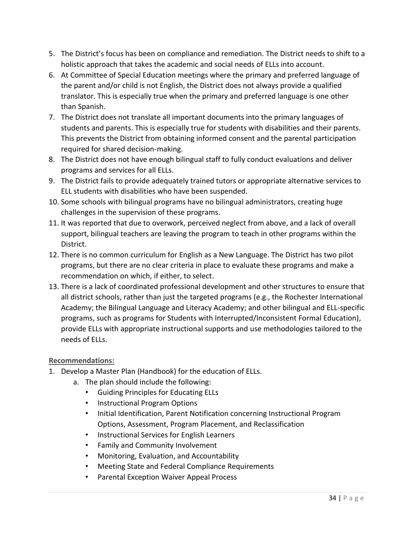- 5. The District's focus has been on compliance and remediation. The District needs to shift to a holistic approach that takes the academic and social needs of ELLs into account.
- 6. At Committee of Special Education meetings where the primary and preferred language of the parent and/or child is not English, the District does not always provide a qualified translator. This is especially true when the primary and preferred language is one other than Spanish.
- 7. The District does not translate all important documents into the primary languages of students and parents. This is especially true for students with disabilities and their parents. This prevents the District from obtaining informed consent and the parental participation required for shared decision-making.
- 8. The District does not have enough bilingual staff to fully conduct evaluations and deliver programs and services for all ELLs.
- 9. The District fails to provide adequately trained tutors or appropriate alternative services to ELL students with disabilities who have been suspended.
- 10. Some schools with bilingual programs have no bilingual administrators, creating huge challenges in the supervision of these programs.
- 11. It was reported that due to overwork, perceived neglect from above, and a lack of overall support, bilingual teachers are leaving the program to teach in other programs within the District.
- 12. There is no common curriculum for English as a New Language. The District has two pilot programs, but there are no clear criteria in place to evaluate these programs and make a recommendation on which, if either, to select.
- 13. There is a lack of coordinated professional development and other structures to ensure that all district schools, rather than just the targeted programs (e.g., the Rochester International Academy; the Bilingual Language and Literacy Academy; and other bilingual and ELL-specific programs, such as programs for Students with Interrupted/Inconsistent Formal Education), provide ELLs with appropriate instructional supports and use methodologies tailored to the needs of ELLs.

# **Recommendations:**

- 1. Develop a Master Plan (Handbook) for the education of ELLs.
	- a. The plan should include the following:
		- Guiding Principles for Educating ELLs
		- Instructional Program Options
		- Initial Identification, Parent Notification concerning Instructional Program Options, Assessment, Program Placement, and Reclassification
		- Instructional Services for English Learners
		- Family and Community Involvement
		- Monitoring, Evaluation, and Accountability
		- Meeting State and Federal Compliance Requirements
		- Parental Exception Waiver Appeal Process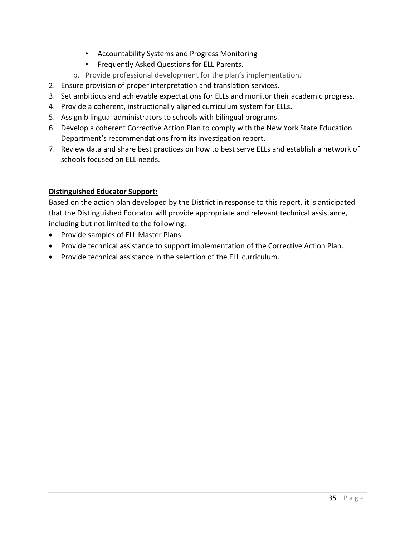- Accountability Systems and Progress Monitoring
- Frequently Asked Questions for ELL Parents.
- b. Provide professional development for the plan's implementation.
- 2. Ensure provision of proper interpretation and translation services.
- 3. Set ambitious and achievable expectations for ELLs and monitor their academic progress.
- 4. Provide a coherent, instructionally aligned curriculum system for ELLs.
- 5. Assign bilingual administrators to schools with bilingual programs.
- 6. Develop a coherent Corrective Action Plan to comply with the New York State Education Department's recommendations from its investigation report.
- 7. Review data and share best practices on how to best serve ELLs and establish a network of schools focused on ELL needs.

# **Distinguished Educator Support:**

Based on the action plan developed by the District in response to this report, it is anticipated that the Distinguished Educator will provide appropriate and relevant technical assistance, including but not limited to the following:

- Provide samples of ELL Master Plans.
- Provide technical assistance to support implementation of the Corrective Action Plan.
- Provide technical assistance in the selection of the ELL curriculum.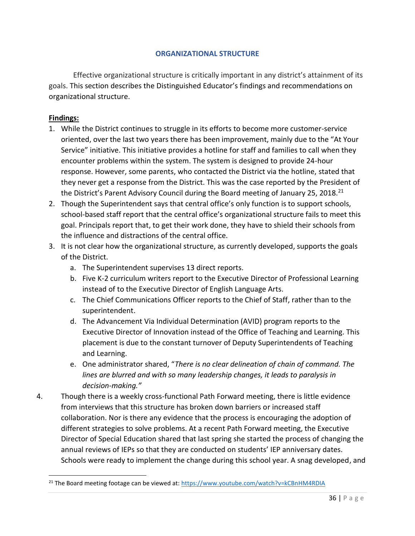#### **ORGANIZATIONAL STRUCTURE**

Effective organizational structure is critically important in any district's attainment of its goals. This section describes the Distinguished Educator's findings and recommendations on organizational structure.

#### **Findings:**

- 1. While the District continues to struggle in its efforts to become more customer-service oriented, over the last two years there has been improvement, mainly due to the "At Your Service" initiative. This initiative provides a hotline for staff and families to call when they encounter problems within the system. The system is designed to provide 24-hour response. However, some parents, who contacted the District via the hotline, stated that they never get a response from the District. This was the case reported by the President of the District's Parent Advisory Council during the Board meeting of January 25, 2018.<sup>21</sup>
- 2. Though the Superintendent says that central office's only function is to support schools, school-based staff report that the central office's organizational structure fails to meet this goal. Principals report that, to get their work done, they have to shield their schools from the influence and distractions of the central office.
- 3. It is not clear how the organizational structure, as currently developed, supports the goals of the District.
	- a. The Superintendent supervises 13 direct reports.
	- b. Five K-2 curriculum writers report to the Executive Director of Professional Learning instead of to the Executive Director of English Language Arts.
	- c. The Chief Communications Officer reports to the Chief of Staff, rather than to the superintendent.
	- d. The Advancement Via Individual Determination (AVID) program reports to the Executive Director of Innovation instead of the Office of Teaching and Learning. This placement is due to the constant turnover of Deputy Superintendents of Teaching and Learning.
	- e. One administrator shared, "*There is no clear delineation of chain of command. The lines are blurred and with so many leadership changes, it leads to paralysis in decision-making."*
- 4. Though there is a weekly cross-functional Path Forward meeting, there is little evidence from interviews that this structure has broken down barriers or increased staff collaboration. Nor is there any evidence that the process is encouraging the adoption of different strategies to solve problems. At a recent Path Forward meeting, the Executive Director of Special Education shared that last spring she started the process of changing the annual reviews of IEPs so that they are conducted on students' IEP anniversary dates. Schools were ready to implement the change during this school year. A snag developed, and

<sup>&</sup>lt;sup>21</sup> The Board meeting footage can be viewed at[: https://www.youtube.com/watch?v=kCBnHM4RDIA](https://www.youtube.com/watch?v=kCBnHM4RDIA)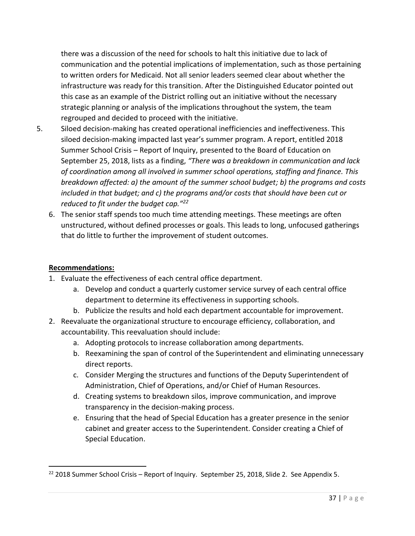there was a discussion of the need for schools to halt this initiative due to lack of communication and the potential implications of implementation, such as those pertaining to written orders for Medicaid. Not all senior leaders seemed clear about whether the infrastructure was ready for this transition. After the Distinguished Educator pointed out this case as an example of the District rolling out an initiative without the necessary strategic planning or analysis of the implications throughout the system, the team regrouped and decided to proceed with the initiative.

- 5. Siloed decision-making has created operational inefficiencies and ineffectiveness. This siloed decision-making impacted last year's summer program. A report, entitled 2018 Summer School Crisis – Report of Inquiry, presented to the Board of Education on September 25, 2018, lists as a finding, *"There was a breakdown in communication and lack of coordination among all involved in summer school operations, staffing and finance. This breakdown affected: a) the amount of the summer school budget; b) the programs and costs included in that budget; and c) the programs and/or costs that should have been cut or reduced to fit under the budget cap."<sup>22</sup>*
	- 6. The senior staff spends too much time attending meetings. These meetings are often unstructured, without defined processes or goals. This leads to long, unfocused gatherings that do little to further the improvement of student outcomes.

#### **Recommendations:**

 $\overline{a}$ 

- 1. Evaluate the effectiveness of each central office department.
	- a. Develop and conduct a quarterly customer service survey of each central office department to determine its effectiveness in supporting schools.
	- b. Publicize the results and hold each department accountable for improvement.
- 2. Reevaluate the organizational structure to encourage efficiency, collaboration, and accountability. This reevaluation should include:
	- a. Adopting protocols to increase collaboration among departments.
	- b. Reexamining the span of control of the Superintendent and eliminating unnecessary direct reports.
	- c. Consider Merging the structures and functions of the Deputy Superintendent of Administration, Chief of Operations, and/or Chief of Human Resources.
	- d. Creating systems to breakdown silos, improve communication, and improve transparency in the decision-making process.
	- e. Ensuring that the head of Special Education has a greater presence in the senior cabinet and greater access to the Superintendent. Consider creating a Chief of Special Education.

 $22$  2018 Summer School Crisis – Report of Inquiry. September 25, 2018, Slide 2. See Appendix 5.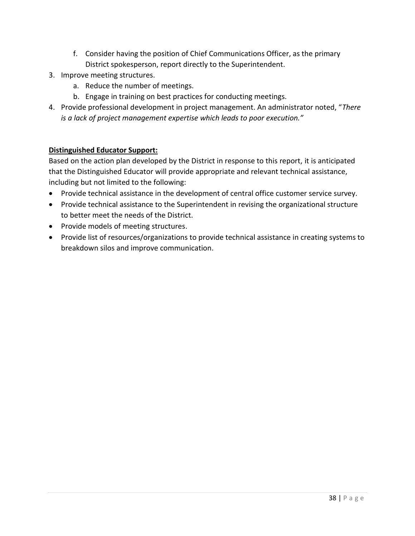- f. Consider having the position of Chief Communications Officer, as the primary District spokesperson, report directly to the Superintendent.
- 3. Improve meeting structures.
	- a. Reduce the number of meetings.
	- b. Engage in training on best practices for conducting meetings.
- 4. Provide professional development in project management. An administrator noted, "*There is a lack of project management expertise which leads to poor execution."*

# **Distinguished Educator Support:**

Based on the action plan developed by the District in response to this report, it is anticipated that the Distinguished Educator will provide appropriate and relevant technical assistance, including but not limited to the following:

- Provide technical assistance in the development of central office customer service survey.
- Provide technical assistance to the Superintendent in revising the organizational structure to better meet the needs of the District.
- Provide models of meeting structures.
- Provide list of resources/organizations to provide technical assistance in creating systems to breakdown silos and improve communication.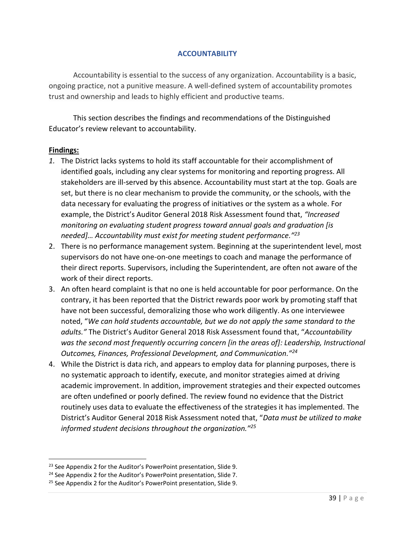#### **ACCOUNTABILITY**

Accountability is essential to the success of any organization. Accountability is a basic, ongoing practice, not a punitive measure. A well-defined system of accountability promotes trust and ownership and leads to highly efficient and productive teams.

This section describes the findings and recommendations of the Distinguished Educator's review relevant to accountability.

#### **Findings:**

 $\overline{a}$ 

- *1.* The District lacks systems to hold its staff accountable for their accomplishment of identified goals, including any clear systems for monitoring and reporting progress. All stakeholders are ill-served by this absence. Accountability must start at the top. Goals are set, but there is no clear mechanism to provide the community, or the schools, with the data necessary for evaluating the progress of initiatives or the system as a whole. For example, the District's Auditor General 2018 Risk Assessment found that, *"Increased monitoring on evaluating student progress toward annual goals and graduation [is needed]… Accountability must exist for meeting student performance." 23*
- 2. There is no performance management system. Beginning at the superintendent level, most supervisors do not have one-on-one meetings to coach and manage the performance of their direct reports. Supervisors, including the Superintendent, are often not aware of the work of their direct reports.
- 3. An often heard complaint is that no one is held accountable for poor performance. On the contrary, it has been reported that the District rewards poor work by promoting staff that have not been successful, demoralizing those who work diligently. As one interviewee noted, "*We can hold students accountable, but we do not apply the same standard to the adults."* The District's Auditor General 2018 Risk Assessment found that, "*Accountability was the second most frequently occurring concern [in the areas of]: Leadership, Instructional Outcomes, Finances, Professional Development, and Communication." 24*
- 4. While the District is data rich, and appears to employ data for planning purposes, there is no systematic approach to identify, execute, and monitor strategies aimed at driving academic improvement. In addition, improvement strategies and their expected outcomes are often undefined or poorly defined. The review found no evidence that the District routinely uses data to evaluate the effectiveness of the strategies it has implemented. The District's Auditor General 2018 Risk Assessment noted that, "*Data must be utilized to make informed student decisions throughout the organization."<sup>25</sup>*

<sup>&</sup>lt;sup>23</sup> See Appendix 2 for the Auditor's PowerPoint presentation, Slide 9.

<sup>&</sup>lt;sup>24</sup> See Appendix 2 for the Auditor's PowerPoint presentation, Slide 7.

<sup>&</sup>lt;sup>25</sup> See Appendix 2 for the Auditor's PowerPoint presentation, Slide 9.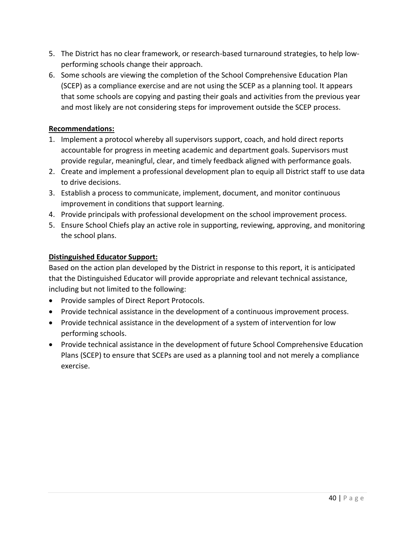- 5. The District has no clear framework, or research-based turnaround strategies, to help lowperforming schools change their approach.
- 6. Some schools are viewing the completion of the School Comprehensive Education Plan (SCEP) as a compliance exercise and are not using the SCEP as a planning tool. It appears that some schools are copying and pasting their goals and activities from the previous year and most likely are not considering steps for improvement outside the SCEP process.

# **Recommendations:**

- 1. Implement a protocol whereby all supervisors support, coach, and hold direct reports accountable for progress in meeting academic and department goals. Supervisors must provide regular, meaningful, clear, and timely feedback aligned with performance goals.
- 2. Create and implement a professional development plan to equip all District staff to use data to drive decisions.
- 3. Establish a process to communicate, implement, document, and monitor continuous improvement in conditions that support learning.
- 4. Provide principals with professional development on the school improvement process.
- 5. Ensure School Chiefs play an active role in supporting, reviewing, approving, and monitoring the school plans.

# **Distinguished Educator Support:**

Based on the action plan developed by the District in response to this report, it is anticipated that the Distinguished Educator will provide appropriate and relevant technical assistance, including but not limited to the following:

- Provide samples of Direct Report Protocols.
- Provide technical assistance in the development of a continuous improvement process.
- Provide technical assistance in the development of a system of intervention for low performing schools.
- Provide technical assistance in the development of future School Comprehensive Education Plans (SCEP) to ensure that SCEPs are used as a planning tool and not merely a compliance exercise.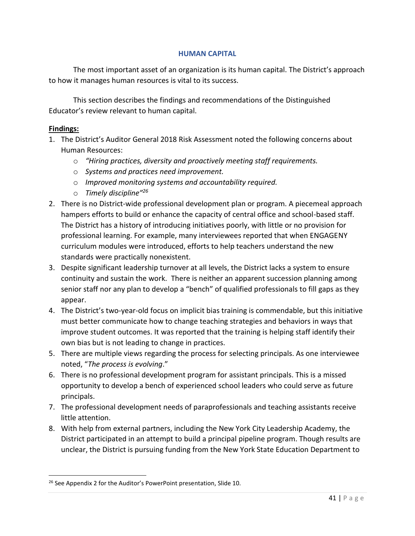#### **HUMAN CAPITAL**

The most important asset of an organization is its human capital. The District's approach to how it manages human resources is vital to its success.

This section describes the findings and recommendations of the Distinguished Educator's review relevant to human capital.

#### **Findings:**

- 1. The District's Auditor General 2018 Risk Assessment noted the following concerns about Human Resources:
	- o *"Hiring practices, diversity and proactively meeting staff requirements.*
	- o *Systems and practices need improvement.*
	- o *Improved monitoring systems and accountability required.*
	- o *Timely discipline"<sup>26</sup>*
- 2. There is no District-wide professional development plan or program. A piecemeal approach hampers efforts to build or enhance the capacity of central office and school-based staff. The District has a history of introducing initiatives poorly, with little or no provision for professional learning. For example, many interviewees reported that when ENGAGENY curriculum modules were introduced, efforts to help teachers understand the new standards were practically nonexistent.
- 3. Despite significant leadership turnover at all levels, the District lacks a system to ensure continuity and sustain the work. There is neither an apparent succession planning among senior staff nor any plan to develop a "bench" of qualified professionals to fill gaps as they appear.
- 4. The District's two-year-old focus on implicit bias training is commendable, but this initiative must better communicate how to change teaching strategies and behaviors in ways that improve student outcomes. It was reported that the training is helping staff identify their own bias but is not leading to change in practices.
- 5. There are multiple views regarding the process for selecting principals. As one interviewee noted, "*The process is evolving*."
- 6. There is no professional development program for assistant principals. This is a missed opportunity to develop a bench of experienced school leaders who could serve as future principals.
- 7. The professional development needs of paraprofessionals and teaching assistants receive little attention.
- 8. With help from external partners, including the New York City Leadership Academy, the District participated in an attempt to build a principal pipeline program. Though results are unclear, the District is pursuing funding from the New York State Education Department to

<sup>&</sup>lt;sup>26</sup> See Appendix 2 for the Auditor's PowerPoint presentation, Slide 10.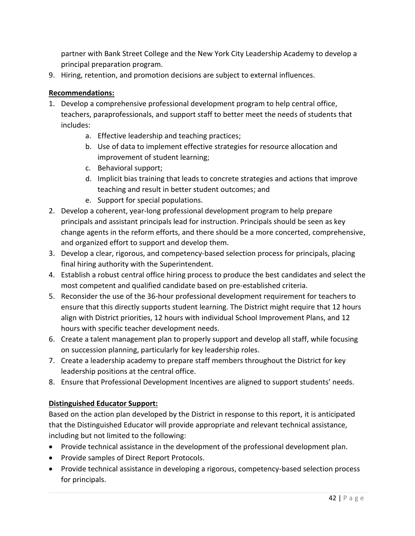partner with Bank Street College and the New York City Leadership Academy to develop a principal preparation program.

9. Hiring, retention, and promotion decisions are subject to external influences.

# **Recommendations:**

- 1. Develop a comprehensive professional development program to help central office, teachers, paraprofessionals, and support staff to better meet the needs of students that includes:
	- a. Effective leadership and teaching practices;
	- b. Use of data to implement effective strategies for resource allocation and improvement of student learning;
	- c. Behavioral support;
	- d. Implicit bias training that leads to concrete strategies and actions that improve teaching and result in better student outcomes; and
	- e. Support for special populations.
- 2. Develop a coherent, year-long professional development program to help prepare principals and assistant principals lead for instruction. Principals should be seen as key change agents in the reform efforts, and there should be a more concerted, comprehensive, and organized effort to support and develop them.
- 3. Develop a clear, rigorous, and competency-based selection process for principals, placing final hiring authority with the Superintendent.
- 4. Establish a robust central office hiring process to produce the best candidates and select the most competent and qualified candidate based on pre-established criteria.
- 5. Reconsider the use of the 36-hour professional development requirement for teachers to ensure that this directly supports student learning. The District might require that 12 hours align with District priorities, 12 hours with individual School Improvement Plans, and 12 hours with specific teacher development needs.
- 6. Create a talent management plan to properly support and develop all staff, while focusing on succession planning, particularly for key leadership roles.
- 7. Create a leadership academy to prepare staff members throughout the District for key leadership positions at the central office.
- 8. Ensure that Professional Development Incentives are aligned to support students' needs.

# **Distinguished Educator Support:**

Based on the action plan developed by the District in response to this report, it is anticipated that the Distinguished Educator will provide appropriate and relevant technical assistance, including but not limited to the following:

- Provide technical assistance in the development of the professional development plan.
- Provide samples of Direct Report Protocols.
- Provide technical assistance in developing a rigorous, competency-based selection process for principals.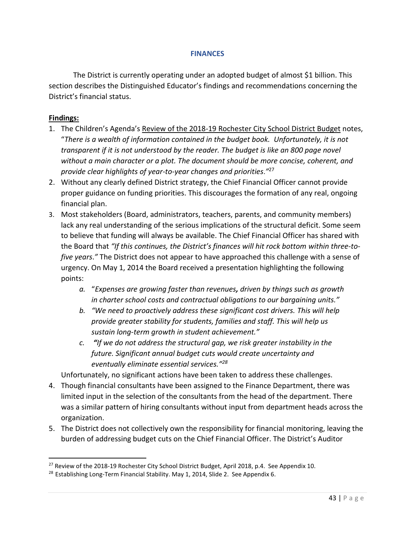#### **FINANCES**

The District is currently operating under an adopted budget of almost \$1 billion. This section describes the Distinguished Educator's findings and recommendations concerning the District's financial status.

#### **Findings:**

 $\overline{\phantom{a}}$ 

- 1. The Children's Agenda's Review of the 2018-19 Rochester City School District Budget notes, "*There is a wealth of information contained in the budget book. Unfortunately, it is not transparent if it is not understood by the reader. The budget is like an 800 page novel without a main character or a plot. The document should be more concise, coherent, and provide clear highlights of year-to-year changes and priorities*.*"* 27
- 2. Without any clearly defined District strategy, the Chief Financial Officer cannot provide proper guidance on funding priorities. This discourages the formation of any real, ongoing financial plan.
- 3. Most stakeholders (Board, administrators, teachers, parents, and community members) lack any real understanding of the serious implications of the structural deficit. Some seem to believe that funding will always be available. The Chief Financial Officer has shared with the Board that *"If this continues, the District's finances will hit rock bottom within three-tofive years*.*"* The District does not appear to have approached this challenge with a sense of urgency. On May 1, 2014 the Board received a presentation highlighting the following points:
	- *a.* "*Expenses are growing faster than revenues, driven by things such as growth in charter school costs and contractual obligations to our bargaining units."*
	- *b. "We need to proactively address these significant cost drivers. This will help provide greater stability for students, families and staff. This will help us sustain long-term growth in student achievement."*
	- *c. "If we do not address the structural gap, we risk greater instability in the future. Significant annual budget cuts would create uncertainty and eventually eliminate essential services." 28*

Unfortunately, no significant actions have been taken to address these challenges.

- 4. Though financial consultants have been assigned to the Finance Department, there was limited input in the selection of the consultants from the head of the department. There was a similar pattern of hiring consultants without input from department heads across the organization.
- 5. The District does not collectively own the responsibility for financial monitoring, leaving the burden of addressing budget cuts on the Chief Financial Officer. The District's Auditor

<sup>&</sup>lt;sup>27</sup> Review of the 2018-19 Rochester City School District Budget, April 2018, p.4. See Appendix 10.

<sup>&</sup>lt;sup>28</sup> Establishing Long-Term Financial Stability. May 1, 2014, Slide 2. See Appendix 6.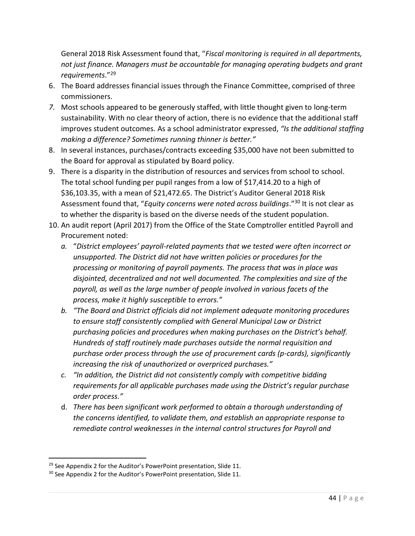General 2018 Risk Assessment found that, "*Fiscal monitoring is required in all departments, not just finance. Managers must be accountable for managing operating budgets and grant requirements*."<sup>29</sup>

- 6. The Board addresses financial issues through the Finance Committee, comprised of three commissioners.
- *7.* Most schools appeared to be generously staffed, with little thought given to long-term sustainability. With no clear theory of action, there is no evidence that the additional staff improves student outcomes. As a school administrator expressed, *"Is the additional staffing making a difference? Sometimes running thinner is better."*
- 8. In several instances, purchases/contracts exceeding \$35,000 have not been submitted to the Board for approval as stipulated by Board policy.
- 9. There is a disparity in the distribution of resources and services from school to school. The total school funding per pupil ranges from a low of \$17,414.20 to a high of \$36,103.35, with a mean of \$21,472.65. The District's Auditor General 2018 Risk Assessment found that, "*Equity concerns were noted across buildings*."<sup>30</sup> It is not clear as to whether the disparity is based on the diverse needs of the student population.
- 10. An audit report (April 2017) from the Office of the State Comptroller entitled Payroll and Procurement noted:
	- *a.* "*District employees' payroll-related payments that we tested were often incorrect or unsupported. The District did not have written policies or procedures for the processing or monitoring of payroll payments. The process that was in place was disjointed, decentralized and not well documented. The complexities and size of the payroll, as well as the large number of people involved in various facets of the process, make it highly susceptible to errors."*
	- *b. "The Board and District officials did not implement adequate monitoring procedures to ensure staff consistently complied with General Municipal Law or District purchasing policies and procedures when making purchases on the District's behalf. Hundreds of staff routinely made purchases outside the normal requisition and purchase order process through the use of procurement cards (p-cards), significantly increasing the risk of unauthorized or overpriced purchases."*
	- *c. "In addition, the District did not consistently comply with competitive bidding requirements for all applicable purchases made using the District's regular purchase order process."*
	- d. *There has been significant work performed to obtain a thorough understanding of the concerns identified, to validate them, and establish an appropriate response to remediate control weaknesses in the internal control structures for Payroll and*

 $29$  See Appendix 2 for the Auditor's PowerPoint presentation, Slide 11.

<sup>&</sup>lt;sup>30</sup> See Appendix 2 for the Auditor's PowerPoint presentation, Slide 11.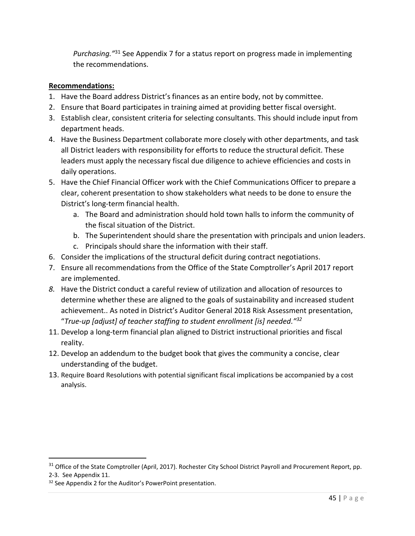Purchasing.<sup>"31</sup> See Appendix 7 for a status report on progress made in implementing the recommendations.

# **Recommendations:**

- 1. Have the Board address District's finances as an entire body, not by committee.
- 2. Ensure that Board participates in training aimed at providing better fiscal oversight.
- 3. Establish clear, consistent criteria for selecting consultants. This should include input from department heads.
- 4. Have the Business Department collaborate more closely with other departments, and task all District leaders with responsibility for efforts to reduce the structural deficit. These leaders must apply the necessary fiscal due diligence to achieve efficiencies and costs in daily operations.
- 5. Have the Chief Financial Officer work with the Chief Communications Officer to prepare a clear, coherent presentation to show stakeholders what needs to be done to ensure the District's long-term financial health.
	- a. The Board and administration should hold town halls to inform the community of the fiscal situation of the District.
	- b. The Superintendent should share the presentation with principals and union leaders.
	- c. Principals should share the information with their staff.
- 6. Consider the implications of the structural deficit during contract negotiations.
- 7. Ensure all recommendations from the Office of the State Comptroller's April 2017 report are implemented.
- *8.* Have the District conduct a careful review of utilization and allocation of resources to determine whether these are aligned to the goals of sustainability and increased student achievement.. As noted in District's Auditor General 2018 Risk Assessment presentation, "*True-up [adjust] of teacher staffing to student enrollment [is] needed." 32*
- 11. Develop a long-term financial plan aligned to District instructional priorities and fiscal reality.
- 12. Develop an addendum to the budget book that gives the community a concise, clear understanding of the budget.
- 13. Require Board Resolutions with potential significant fiscal implications be accompanied by a cost analysis.

<sup>&</sup>lt;sup>31</sup> Office of the State Comptroller (April, 2017). Rochester City School District Payroll and Procurement Report, pp. 2-3. See Appendix 11.

<sup>&</sup>lt;sup>32</sup> See Appendix 2 for the Auditor's PowerPoint presentation.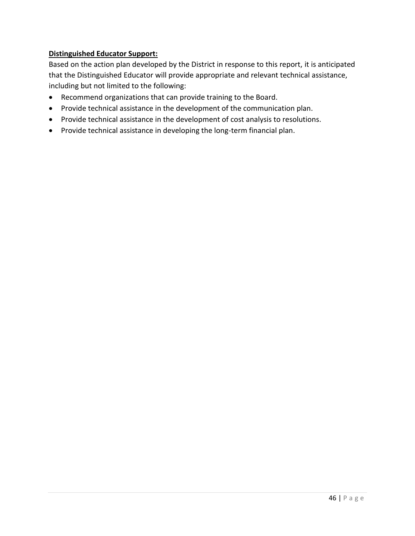# **Distinguished Educator Support:**

Based on the action plan developed by the District in response to this report, it is anticipated that the Distinguished Educator will provide appropriate and relevant technical assistance, including but not limited to the following:

- Recommend organizations that can provide training to the Board.
- Provide technical assistance in the development of the communication plan.
- Provide technical assistance in the development of cost analysis to resolutions.
- Provide technical assistance in developing the long-term financial plan.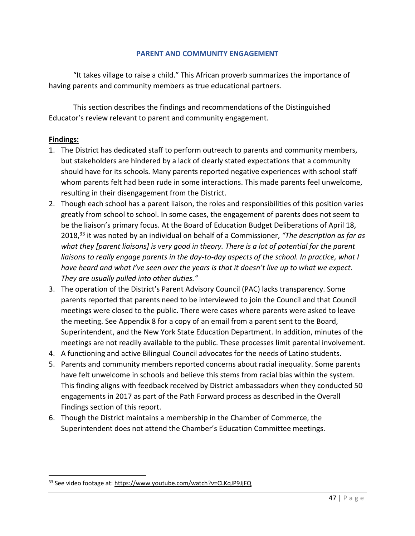#### **PARENT AND COMMUNITY ENGAGEMENT**

"It takes village to raise a child." This African proverb summarizes the importance of having parents and community members as true educational partners.

This section describes the findings and recommendations of the Distinguished Educator's review relevant to parent and community engagement.

#### **Findings:**

- 1. The District has dedicated staff to perform outreach to parents and community members, but stakeholders are hindered by a lack of clearly stated expectations that a community should have for its schools. Many parents reported negative experiences with school staff whom parents felt had been rude in some interactions. This made parents feel unwelcome, resulting in their disengagement from the District.
- 2. Though each school has a parent liaison, the roles and responsibilities of this position varies greatly from school to school. In some cases, the engagement of parents does not seem to be the liaison's primary focus. At the Board of Education Budget Deliberations of April 18, 2018,<sup>33</sup> it was noted by an individual on behalf of a Commissioner, *"The description as far as what they [parent liaisons] is very good in theory. There is a lot of potential for the parent liaisons to really engage parents in the day-to-day aspects of the school. In practice, what I have heard and what I've seen over the years is that it doesn't live up to what we expect. They are usually pulled into other duties."*
- 3. The operation of the District's Parent Advisory Council (PAC) lacks transparency. Some parents reported that parents need to be interviewed to join the Council and that Council meetings were closed to the public. There were cases where parents were asked to leave the meeting. See Appendix 8 for a copy of an email from a parent sent to the Board, Superintendent, and the New York State Education Department. In addition, minutes of the meetings are not readily available to the public. These processes limit parental involvement.
- 4. A functioning and active Bilingual Council advocates for the needs of Latino students.
- 5. Parents and community members reported concerns about racial inequality. Some parents have felt unwelcome in schools and believe this stems from racial bias within the system. This finding aligns with feedback received by District ambassadors when they conducted 50 engagements in 2017 as part of the Path Forward process as described in the Overall Findings section of this report.
- 6. Though the District maintains a membership in the Chamber of Commerce, the Superintendent does not attend the Chamber's Education Committee meetings.

<sup>33</sup> See video footage at:<https://www.youtube.com/watch?v=CLKqJP9JjFQ>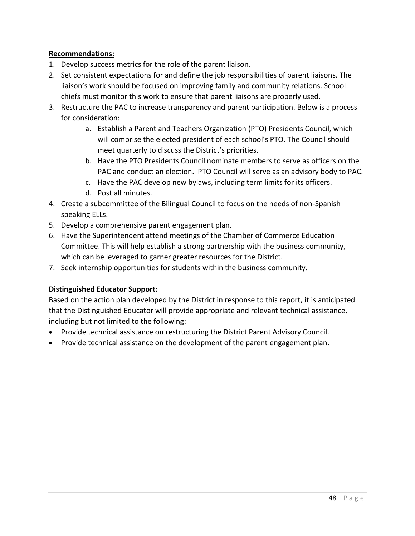# **Recommendations:**

- 1. Develop success metrics for the role of the parent liaison.
- 2. Set consistent expectations for and define the job responsibilities of parent liaisons. The liaison's work should be focused on improving family and community relations. School chiefs must monitor this work to ensure that parent liaisons are properly used.
- 3. Restructure the PAC to increase transparency and parent participation. Below is a process for consideration:
	- a. Establish a Parent and Teachers Organization (PTO) Presidents Council, which will comprise the elected president of each school's PTO. The Council should meet quarterly to discuss the District's priorities.
	- b. Have the PTO Presidents Council nominate members to serve as officers on the PAC and conduct an election. PTO Council will serve as an advisory body to PAC.
	- c. Have the PAC develop new bylaws, including term limits for its officers.
	- d. Post all minutes.
- 4. Create a subcommittee of the Bilingual Council to focus on the needs of non-Spanish speaking ELLs.
- 5. Develop a comprehensive parent engagement plan.
- 6. Have the Superintendent attend meetings of the Chamber of Commerce Education Committee. This will help establish a strong partnership with the business community, which can be leveraged to garner greater resources for the District.
- 7. Seek internship opportunities for students within the business community.

# **Distinguished Educator Support:**

Based on the action plan developed by the District in response to this report, it is anticipated that the Distinguished Educator will provide appropriate and relevant technical assistance, including but not limited to the following:

- Provide technical assistance on restructuring the District Parent Advisory Council.
- Provide technical assistance on the development of the parent engagement plan.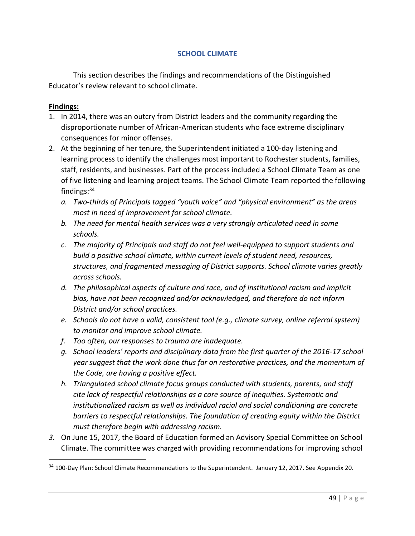#### **SCHOOL CLIMATE**

This section describes the findings and recommendations of the Distinguished Educator's review relevant to school climate.

#### **Findings:**

- 1. In 2014, there was an outcry from District leaders and the community regarding the disproportionate number of African-American students who face extreme disciplinary consequences for minor offenses.
- 2. At the beginning of her tenure, the Superintendent initiated a 100-day listening and learning process to identify the challenges most important to Rochester students, families, staff, residents, and businesses. Part of the process included a School Climate Team as one of five listening and learning project teams. The School Climate Team reported the following findings: $34$ 
	- *a. Two-thirds of Principals tagged "youth voice" and "physical environment" as the areas most in need of improvement for school climate.*
	- *b. The need for mental health services was a very strongly articulated need in some schools.*
	- *c. The majority of Principals and staff do not feel well-equipped to support students and build a positive school climate, within current levels of student need, resources, structures, and fragmented messaging of District supports. School climate varies greatly across schools.*
	- *d. The philosophical aspects of culture and race, and of institutional racism and implicit bias, have not been recognized and/or acknowledged, and therefore do not inform District and/or school practices.*
	- *e. Schools do not have a valid, consistent tool (e.g., climate survey, online referral system) to monitor and improve school climate.*
	- *f. Too often, our responses to trauma are inadequate.*
	- *g. School leaders' reports and disciplinary data from the first quarter of the 2016-17 school year suggest that the work done thus far on restorative practices, and the momentum of the Code, are having a positive effect.*
	- *h. Triangulated school climate focus groups conducted with students, parents, and staff cite lack of respectful relationships as a core source of inequities. Systematic and institutionalized racism as well as individual racial and social conditioning are concrete barriers to respectful relationships. The foundation of creating equity within the District must therefore begin with addressing racism.*
- *3.* On June 15, 2017, the Board of Education formed an Advisory Special Committee on School Climate. The committee was charged with providing recommendations for improving school

<sup>&</sup>lt;sup>34</sup> 100-Day Plan: School Climate Recommendations to the Superintendent. January 12, 2017. See Appendix 20.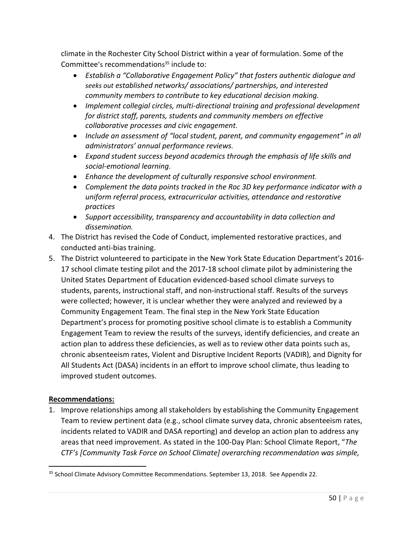climate in the Rochester City School District within a year of formulation. Some of the Committee's recommendations <sup>35</sup> include to:

- *Establish a "Collaborative Engagement Policy" that fosters authentic dialogue and seeks out established networks/ associations/ partnerships, and interested community members to contribute to key educational decision making.*
- *Implement collegial circles, multi-directional training and professional development for district staff, parents, students and community members on effective collaborative processes and civic engagement.*
- *Include an assessment of "local student, parent, and community engagement" in all administrators' annual performance reviews.*
- *Expand student success beyond academics through the emphasis of life skills and social-emotional learning.*
- *Enhance the development of culturally responsive school environment.*
- *Complement the data points tracked in the Roc 3D key performance indicator with a uniform referral process, extracurricular activities, attendance and restorative practices*
- *Support accessibility, transparency and accountability in data collection and dissemination.*
- 4. The District has revised the Code of Conduct, implemented restorative practices, and conducted anti-bias training.
- 5. The District volunteered to participate in the New York State Education Department's 2016- 17 school climate testing pilot and the 2017-18 school climate pilot by administering the United States Department of Education evidenced-based school climate surveys to students, parents, instructional staff, and non-instructional staff. Results of the surveys were collected; however, it is unclear whether they were analyzed and reviewed by a Community Engagement Team. The final step in the New York State Education Department's process for promoting positive school climate is to establish a Community Engagement Team to review the results of the surveys, identify deficiencies, and create an action plan to address these deficiencies, as well as to review other data points such as, chronic absenteeism rates, Violent and Disruptive Incident Reports (VADIR), and Dignity for All Students Act (DASA) incidents in an effort to improve school climate, thus leading to improved student outcomes.

# **Recommendations:**

 $\overline{a}$ 

1. Improve relationships among all stakeholders by establishing the Community Engagement Team to review pertinent data (e.g., school climate survey data, chronic absenteeism rates, incidents related to VADIR and DASA reporting) and develop an action plan to address any areas that need improvement. As stated in the 100-Day Plan: School Climate Report, "*The CTF's [Community Task Force on School Climate] overarching recommendation was simple,* 

<sup>&</sup>lt;sup>35</sup> School Climate Advisory Committee Recommendations. September 13, 2018. See Appendix 22.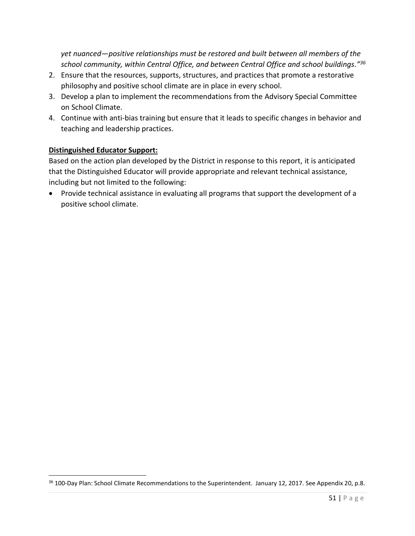*yet nuanced—positive relationships must be restored and built between all members of the school community, within Central Office, and between Central Office and school buildings."<sup>36</sup>*

- 2. Ensure that the resources, supports, structures, and practices that promote a restorative philosophy and positive school climate are in place in every school.
- 3. Develop a plan to implement the recommendations from the Advisory Special Committee on School Climate.
- 4. Continue with anti-bias training but ensure that it leads to specific changes in behavior and teaching and leadership practices.

# **Distinguished Educator Support:**

 $\overline{\phantom{a}}$ 

Based on the action plan developed by the District in response to this report, it is anticipated that the Distinguished Educator will provide appropriate and relevant technical assistance, including but not limited to the following:

• Provide technical assistance in evaluating all programs that support the development of a positive school climate.

<sup>&</sup>lt;sup>36</sup> 100-Day Plan: School Climate Recommendations to the Superintendent. January 12, 2017. See Appendix 20, p.8.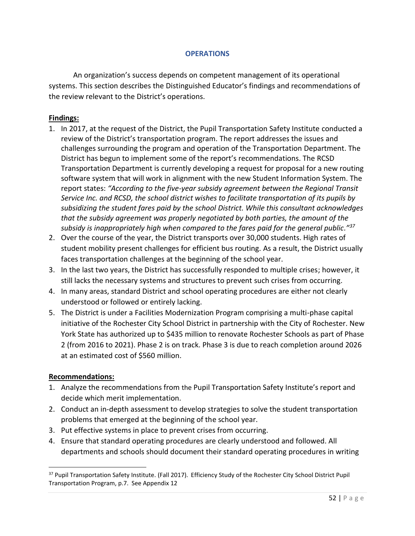#### **OPERATIONS**

An organization's success depends on competent management of its operational systems. This section describes the Distinguished Educator's findings and recommendations of the review relevant to the District's operations.

#### **Findings:**

- 1. In 2017, at the request of the District, the Pupil Transportation Safety Institute conducted a review of the District's transportation program. The report addresses the issues and challenges surrounding the program and operation of the Transportation Department. The District has begun to implement some of the report's recommendations. The RCSD Transportation Department is currently developing a request for proposal for a new routing software system that will work in alignment with the new Student Information System. The report states: *"According to the five-year subsidy agreement between the Regional Transit Service Inc. and RCSD, the school district wishes to facilitate transportation of its pupils by subsidizing the student fares paid by the school District. While this consultant acknowledges that the subsidy agreement was properly negotiated by both parties, the amount of the subsidy is inappropriately high when compared to the fares paid for the general public."<sup>37</sup>*
- 2. Over the course of the year, the District transports over 30,000 students. High rates of student mobility present challenges for efficient bus routing. As a result, the District usually faces transportation challenges at the beginning of the school year.
- 3. In the last two years, the District has successfully responded to multiple crises; however, it still lacks the necessary systems and structures to prevent such crises from occurring.
- 4. In many areas, standard District and school operating procedures are either not clearly understood or followed or entirely lacking.
- 5. The District is under a Facilities Modernization Program comprising a multi-phase capital initiative of the Rochester City School District in partnership with the City of Rochester. New York State has authorized up to \$435 million to renovate Rochester Schools as part of Phase 2 (from 2016 to 2021). Phase 2 is on track. Phase 3 is due to reach completion around 2026 at an estimated cost of \$560 million.

#### **Recommendations:**

- 1. Analyze the recommendations from the Pupil Transportation Safety Institute's report and decide which merit implementation.
- 2. Conduct an in-depth assessment to develop strategies to solve the student transportation problems that emerged at the beginning of the school year.
- 3. Put effective systems in place to prevent crises from occurring.
- 4. Ensure that standard operating procedures are clearly understood and followed. All departments and schools should document their standard operating procedures in writing

<sup>&</sup>lt;sup>37</sup> Pupil Transportation Safety Institute. (Fall 2017). Efficiency Study of the Rochester City School District Pupil Transportation Program, p.7. See Appendix 12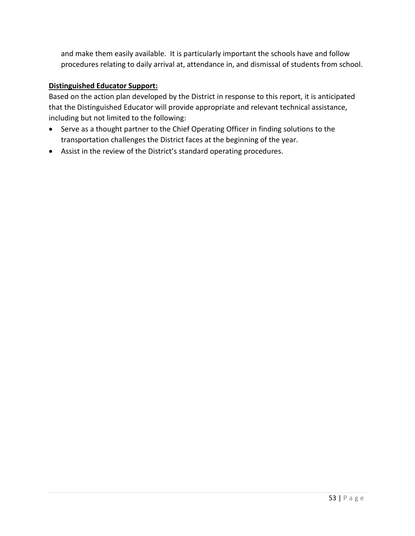and make them easily available. It is particularly important the schools have and follow procedures relating to daily arrival at, attendance in, and dismissal of students from school.

# **Distinguished Educator Support:**

Based on the action plan developed by the District in response to this report, it is anticipated that the Distinguished Educator will provide appropriate and relevant technical assistance, including but not limited to the following:

- Serve as a thought partner to the Chief Operating Officer in finding solutions to the transportation challenges the District faces at the beginning of the year.
- Assist in the review of the District's standard operating procedures.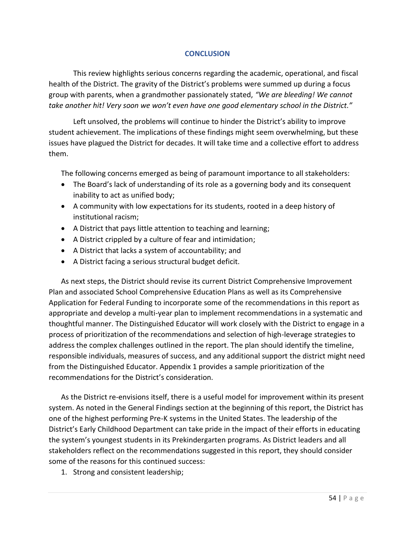#### **CONCLUSION**

This review highlights serious concerns regarding the academic, operational, and fiscal health of the District. The gravity of the District's problems were summed up during a focus group with parents, when a grandmother passionately stated, *"We are bleeding! We cannot take another hit! Very soon we won't even have one good elementary school in the District."*

Left unsolved, the problems will continue to hinder the District's ability to improve student achievement. The implications of these findings might seem overwhelming, but these issues have plagued the District for decades. It will take time and a collective effort to address them.

The following concerns emerged as being of paramount importance to all stakeholders:

- The Board's lack of understanding of its role as a governing body and its consequent inability to act as unified body;
- A community with low expectations for its students, rooted in a deep history of institutional racism;
- A District that pays little attention to teaching and learning;
- A District crippled by a culture of fear and intimidation;
- A District that lacks a system of accountability; and
- A District facing a serious structural budget deficit.

As next steps, the District should revise its current District Comprehensive Improvement Plan and associated School Comprehensive Education Plans as well as its Comprehensive Application for Federal Funding to incorporate some of the recommendations in this report as appropriate and develop a multi-year plan to implement recommendations in a systematic and thoughtful manner. The Distinguished Educator will work closely with the District to engage in a process of prioritization of the recommendations and selection of high-leverage strategies to address the complex challenges outlined in the report. The plan should identify the timeline, responsible individuals, measures of success, and any additional support the district might need from the Distinguished Educator. Appendix 1 provides a sample prioritization of the recommendations for the District's consideration.

As the District re-envisions itself, there is a useful model for improvement within its present system. As noted in the General Findings section at the beginning of this report, the District has one of the highest performing Pre-K systems in the United States. The leadership of the District's Early Childhood Department can take pride in the impact of their efforts in educating the system's youngest students in its Prekindergarten programs. As District leaders and all stakeholders reflect on the recommendations suggested in this report, they should consider some of the reasons for this continued success:

1. Strong and consistent leadership;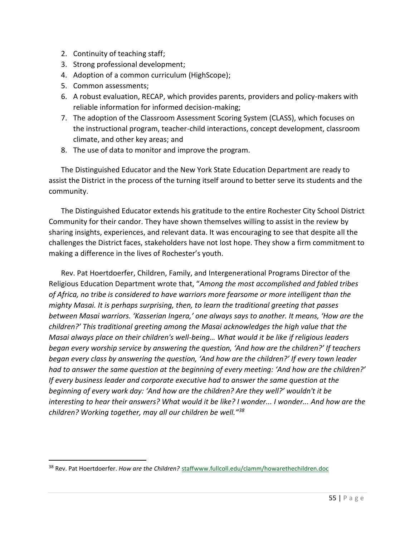- 2. Continuity of teaching staff;
- 3. Strong professional development;
- 4. Adoption of a common curriculum (HighScope);
- 5. Common assessments;

 $\overline{a}$ 

- 6. A robust evaluation, RECAP, which provides parents, providers and policy-makers with reliable information for informed decision-making;
- 7. The adoption of the Classroom Assessment Scoring System (CLASS), which focuses on the instructional program, teacher-child interactions, concept development, classroom climate, and other key areas; and
- 8. The use of data to monitor and improve the program.

The Distinguished Educator and the New York State Education Department are ready to assist the District in the process of the turning itself around to better serve its students and the community.

The Distinguished Educator extends his gratitude to the entire Rochester City School District Community for their candor. They have shown themselves willing to assist in the review by sharing insights, experiences, and relevant data. It was encouraging to see that despite all the challenges the District faces, stakeholders have not lost hope. They show a firm commitment to making a difference in the lives of Rochester's youth.

Rev. Pat Hoertdoerfer, Children, Family, and Intergenerational Programs Director of the Religious Education Department wrote that, "*Among the most accomplished and fabled tribes of Africa, no tribe is considered to have warriors more fearsome or more intelligent than the mighty Masai. It is perhaps surprising, then, to learn the traditional greeting that passes between Masai warriors. 'Kasserian Ingera,' one always says to another. It means, 'How are the children?' This traditional greeting among the Masai acknowledges the high value that the Masai always place on their children's well-being… What would it be like if religious leaders began every worship service by answering the question, 'And how are the children?' If teachers began every class by answering the question, 'And how are the children?' If every town leader had to answer the same question at the beginning of every meeting: 'And how are the children?' If every business leader and corporate executive had to answer the same question at the beginning of every work day: 'And how are the children? Are they well?' wouldn't it be interesting to hear their answers? What would it be like? I wonder... I wonder... And how are the children? Working together, may all our children be well."<sup>38</sup>*

<sup>&</sup>lt;sup>38</sup> Rev. Pat Hoertdoerfer. *How are the Children?* [staffwww.fullcoll.edu/clamm/howarethechildren.doc](http://staffwww.fullcoll.edu/clamm/howarethechildren.doc)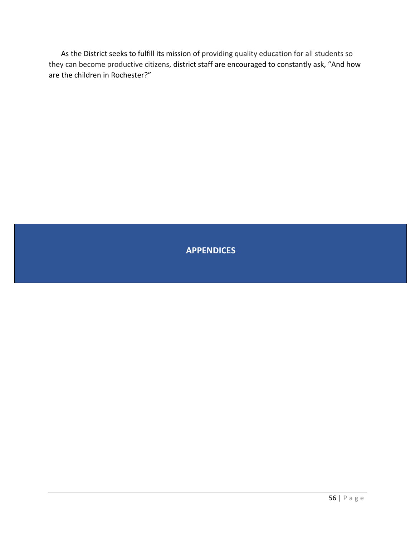As the District seeks to fulfill its mission of providing quality education for all students so they can become productive citizens, district staff are encouraged to constantly ask, "And how are the children in Rochester?"

# **APPENDICES**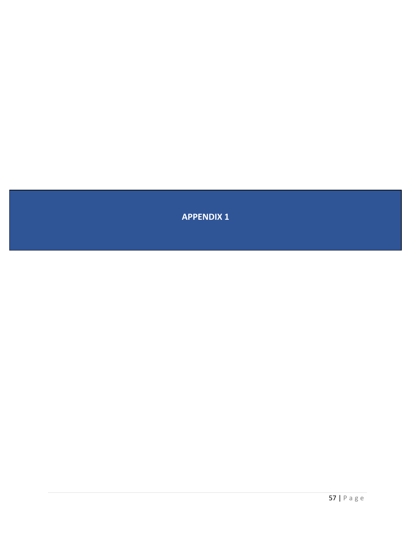**APPENDIX 1**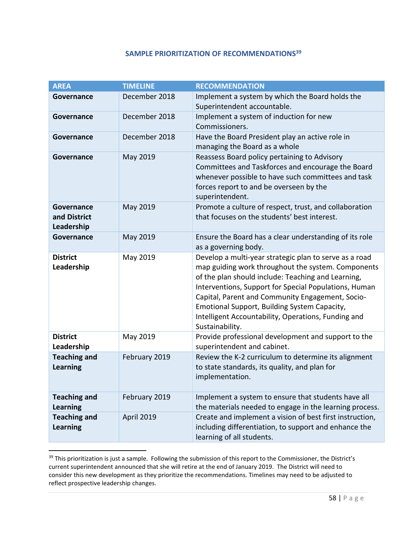#### **SAMPLE PRIORITIZATION OF RECOMMENDATIONS<sup>39</sup>**

<span id="page-58-0"></span>

| <b>AREA</b>                              | <b>TIMELINE</b> | <b>RECOMMENDATION</b>                                                                                                                                                                                                                                                                                                                                                                                     |
|------------------------------------------|-----------------|-----------------------------------------------------------------------------------------------------------------------------------------------------------------------------------------------------------------------------------------------------------------------------------------------------------------------------------------------------------------------------------------------------------|
| Governance                               | December 2018   | Implement a system by which the Board holds the<br>Superintendent accountable.                                                                                                                                                                                                                                                                                                                            |
| Governance                               | December 2018   | Implement a system of induction for new<br>Commissioners.                                                                                                                                                                                                                                                                                                                                                 |
| Governance                               | December 2018   | Have the Board President play an active role in<br>managing the Board as a whole                                                                                                                                                                                                                                                                                                                          |
| Governance                               | May 2019        | Reassess Board policy pertaining to Advisory<br>Committees and Taskforces and encourage the Board<br>whenever possible to have such committees and task<br>forces report to and be overseen by the<br>superintendent.                                                                                                                                                                                     |
| Governance<br>and District<br>Leadership | May 2019        | Promote a culture of respect, trust, and collaboration<br>that focuses on the students' best interest.                                                                                                                                                                                                                                                                                                    |
| Governance                               | May 2019        | Ensure the Board has a clear understanding of its role<br>as a governing body.                                                                                                                                                                                                                                                                                                                            |
| <b>District</b><br>Leadership            | May 2019        | Develop a multi-year strategic plan to serve as a road<br>map guiding work throughout the system. Components<br>of the plan should include: Teaching and Learning,<br>Interventions, Support for Special Populations, Human<br>Capital, Parent and Community Engagement, Socio-<br>Emotional Support, Building System Capacity,<br>Intelligent Accountability, Operations, Funding and<br>Sustainability. |
| <b>District</b><br>Leadership            | May 2019        | Provide professional development and support to the<br>superintendent and cabinet.                                                                                                                                                                                                                                                                                                                        |
| <b>Teaching and</b><br><b>Learning</b>   | February 2019   | Review the K-2 curriculum to determine its alignment<br>to state standards, its quality, and plan for<br>implementation.                                                                                                                                                                                                                                                                                  |
| <b>Teaching and</b><br><b>Learning</b>   | February 2019   | Implement a system to ensure that students have all<br>the materials needed to engage in the learning process.                                                                                                                                                                                                                                                                                            |
| <b>Teaching and</b><br><b>Learning</b>   | April 2019      | Create and implement a vision of best first instruction,<br>including differentiation, to support and enhance the<br>learning of all students.                                                                                                                                                                                                                                                            |

<sup>&</sup>lt;sup>39</sup> This prioritization is just a sample. Following the submission of this report to the Commissioner, the District's current superintendent announced that she will retire at the end of January 2019. The District will need to consider this new development as they prioritize the recommendations. Timelines may need to be adjusted to reflect prospective leadership changes.

l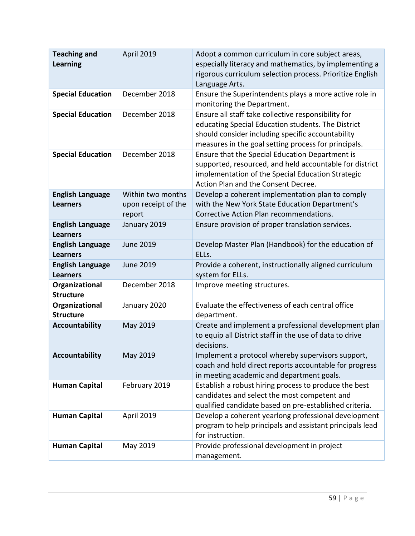| <b>Teaching and</b><br><b>Learning</b>     | April 2019                                         | Adopt a common curriculum in core subject areas,<br>especially literacy and mathematics, by implementing a<br>rigorous curriculum selection process. Prioritize English<br>Language Arts.                              |
|--------------------------------------------|----------------------------------------------------|------------------------------------------------------------------------------------------------------------------------------------------------------------------------------------------------------------------------|
| <b>Special Education</b>                   | December 2018                                      | Ensure the Superintendents plays a more active role in<br>monitoring the Department.                                                                                                                                   |
| <b>Special Education</b>                   | December 2018                                      | Ensure all staff take collective responsibility for<br>educating Special Education students. The District<br>should consider including specific accountability<br>measures in the goal setting process for principals. |
| <b>Special Education</b>                   | December 2018                                      | Ensure that the Special Education Department is<br>supported, resourced, and held accountable for district<br>implementation of the Special Education Strategic<br>Action Plan and the Consent Decree.                 |
| <b>English Language</b><br><b>Learners</b> | Within two months<br>upon receipt of the<br>report | Develop a coherent implementation plan to comply<br>with the New York State Education Department's<br>Corrective Action Plan recommendations.                                                                          |
| <b>English Language</b><br><b>Learners</b> | January 2019                                       | Ensure provision of proper translation services.                                                                                                                                                                       |
| <b>English Language</b><br><b>Learners</b> | <b>June 2019</b>                                   | Develop Master Plan (Handbook) for the education of<br>ELLs.                                                                                                                                                           |
| <b>English Language</b><br><b>Learners</b> | <b>June 2019</b>                                   | Provide a coherent, instructionally aligned curriculum<br>system for ELLs.                                                                                                                                             |
| Organizational<br><b>Structure</b>         | December 2018                                      | Improve meeting structures.                                                                                                                                                                                            |
| Organizational<br><b>Structure</b>         | January 2020                                       | Evaluate the effectiveness of each central office<br>department.                                                                                                                                                       |
| <b>Accountability</b>                      | May 2019                                           | Create and implement a professional development plan<br>to equip all District staff in the use of data to drive<br>decisions.                                                                                          |
| <b>Accountability</b>                      | May 2019                                           | Implement a protocol whereby supervisors support,<br>coach and hold direct reports accountable for progress<br>in meeting academic and department goals.                                                               |
| <b>Human Capital</b>                       | February 2019                                      | Establish a robust hiring process to produce the best<br>candidates and select the most competent and<br>qualified candidate based on pre-established criteria.                                                        |
| <b>Human Capital</b>                       | April 2019                                         | Develop a coherent yearlong professional development<br>program to help principals and assistant principals lead<br>for instruction.                                                                                   |
| <b>Human Capital</b>                       | May 2019                                           | Provide professional development in project<br>management.                                                                                                                                                             |